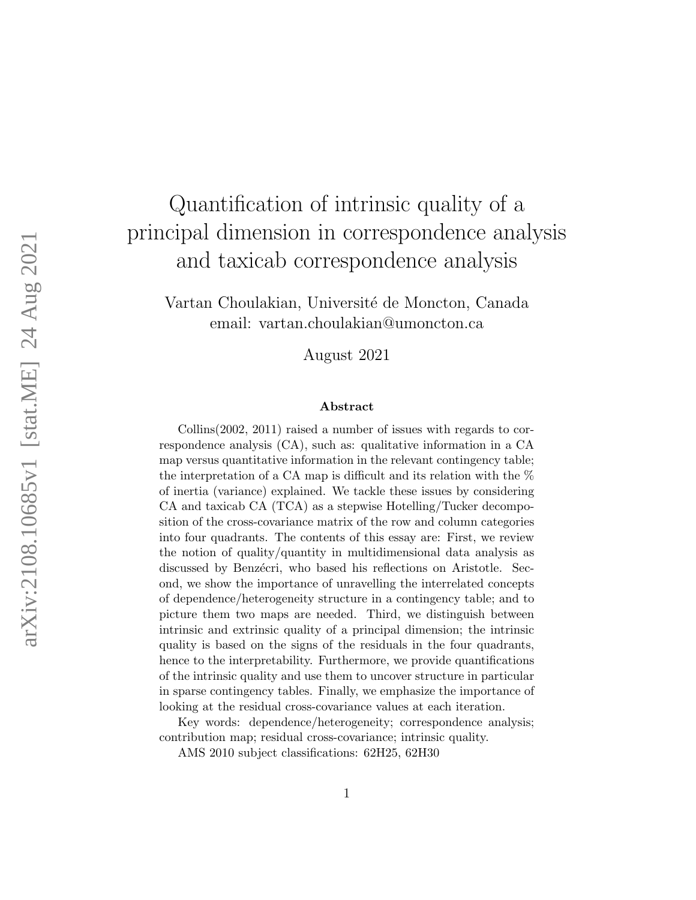# Quantification of intrinsic quality of a principal dimension in correspondence analysis and taxicab correspondence analysis

Vartan Choulakian, Université de Moncton, Canada email: vartan.choulakian@umoncton.ca

August 2021

#### Abstract

Collins(2002, 2011) raised a number of issues with regards to correspondence analysis (CA), such as: qualitative information in a CA map versus quantitative information in the relevant contingency table; the interpretation of a CA map is difficult and its relation with the % of inertia (variance) explained. We tackle these issues by considering CA and taxicab CA (TCA) as a stepwise Hotelling/Tucker decomposition of the cross-covariance matrix of the row and column categories into four quadrants. The contents of this essay are: First, we review the notion of quality/quantity in multidimensional data analysis as discussed by Benzécri, who based his reflections on Aristotle. Second, we show the importance of unravelling the interrelated concepts of dependence/heterogeneity structure in a contingency table; and to picture them two maps are needed. Third, we distinguish between intrinsic and extrinsic quality of a principal dimension; the intrinsic quality is based on the signs of the residuals in the four quadrants, hence to the interpretability. Furthermore, we provide quantifications of the intrinsic quality and use them to uncover structure in particular in sparse contingency tables. Finally, we emphasize the importance of looking at the residual cross-covariance values at each iteration.

Key words: dependence/heterogeneity; correspondence analysis; contribution map; residual cross-covariance; intrinsic quality.

AMS 2010 subject classifications: 62H25, 62H30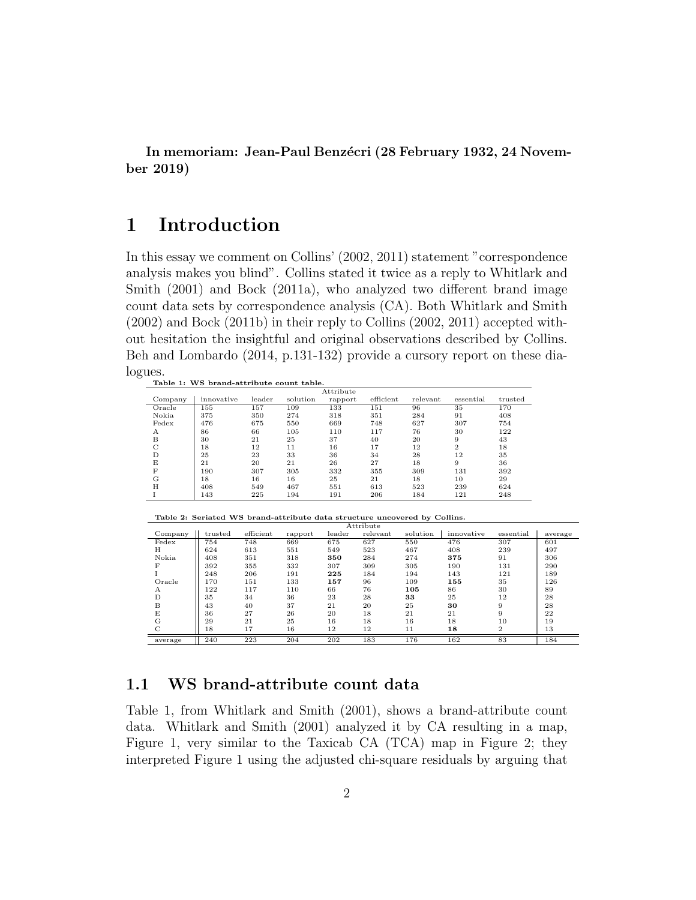In memoriam: Jean-Paul Benzécri (28 February 1932, 24 November 2019)

# 1 Introduction

In this essay we comment on Collins' (2002, 2011) statement "correspondence analysis makes you blind". Collins stated it twice as a reply to Whitlark and Smith (2001) and Bock (2011a), who analyzed two different brand image count data sets by correspondence analysis (CA). Both Whitlark and Smith (2002) and Bock (2011b) in their reply to Collins (2002, 2011) accepted without hesitation the insightful and original observations described by Collins. Beh and Lombardo (2014, p.131-132) provide a cursory report on these dialogues.

|         |            |        |          | Attribute |           |          |                |         |
|---------|------------|--------|----------|-----------|-----------|----------|----------------|---------|
| Company | innovative | leader | solution | rapport   | efficient | relevant | essential      | trusted |
| Oracle  | 155        | 157    | 109      | 133       | 151       | 96       | 35             | 170     |
| Nokia   | 375        | 350    | 274      | 318       | 351       | 284      | 91             | 408     |
| Fedex   | 476        | 675    | 550      | 669       | 748       | 627      | 307            | 754     |
| А       | 86         | 66     | 105      | 110       | 117       | 76       | 30             | 122     |
| B       | 30         | 21     | 25       | 37        | 40        | 20       | 9              | 43      |
| C       | 18         | 12     | 11       | 16        | 17        | 12       | $\overline{2}$ | 18      |
|         | 25         | 23     | 33       | 36        | 34        | 28       | 12             | 35      |
| E       | 21         | 20     | 21       | 26        | 27        | 18       | 9              | 36      |
| F       | 190        | 307    | 305      | 332       | 355       | 309      | 131            | 392     |
| G       | 18         | 16     | 16       | 25        | 21        | 18       | 10             | 29      |
| H       | 408        | 549    | 467      | 551       | 613       | 523      | 239            | 624     |
|         | 143        | 225    | 194      | 191       | 206       | 184      | 121            | 248     |

Table 2: Seriated WS brand-attribute data structure uncovered by Collins.

|               |         |           |         |        | Attribute |          |            |                |         |
|---------------|---------|-----------|---------|--------|-----------|----------|------------|----------------|---------|
| Company       | trusted | efficient | rapport | leader | relevant  | solution | innovative | essential      | average |
| Fedex         | 754     | 748       | 669     | 675    | 627       | 550      | 476        | 307            | 601     |
| Н             | 624     | 613       | 551     | 549    | 523       | 467      | 408        | 239            | 497     |
| Nokia         | 408     | 351       | 318     | 350    | 284       | 274      | 375        | 91             | 306     |
| F             | 392     | 355       | 332     | 307    | 309       | 305      | 190        | 131            | 290     |
|               | 248     | 206       | 191     | 225    | 184       | 194      | 143        | 121            | 189     |
| Oracle        | 170     | 151       | 133     | 157    | 96        | 109      | 155        | 35             | 126     |
| А             | 122     | 117       | 110     | 66     | 76        | 105      | 86         | 30             | 89      |
| D             | 35      | 34        | 36      | 23     | 28        | 33       | 25         | 12             | 28      |
| B             | 43      | 40        | 37      | 21     | 20        | 25       | 30         | 9              | 28      |
| E             | 36      | 27        | 26      | 20     | 18        | 21       | 21         | 9              | 22      |
| G             | 29      | 21        | 25      | 16     | 18        | 16       | 18         | 10             | 19      |
| $\mathcal{C}$ | 18      | 17        | 16      | 12     | 12        | 11       | 18         | $\overline{2}$ | 13      |
| average       | 240     | 223       | 204     | 202    | 183       | 176      | 162        | 83             | 184     |

### 1.1 WS brand-attribute count data

Table 1, from Whitlark and Smith (2001), shows a brand-attribute count data. Whitlark and Smith (2001) analyzed it by CA resulting in a map, Figure 1, very similar to the Taxicab CA (TCA) map in Figure 2; they interpreted Figure 1 using the adjusted chi-square residuals by arguing that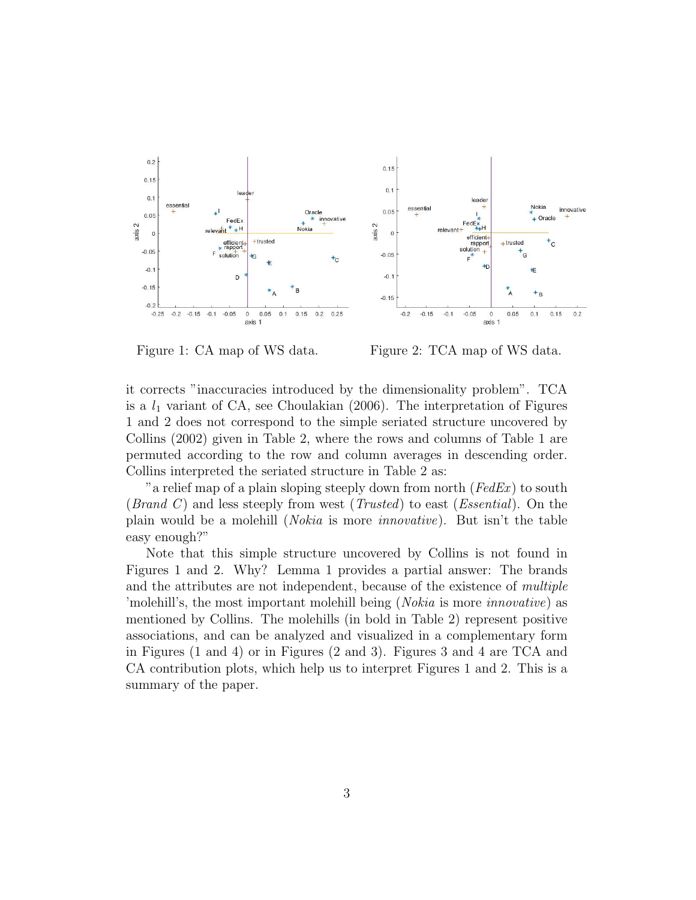

Figure 1: CA map of WS data. Figure 2: TCA map of WS data.

it corrects "inaccuracies introduced by the dimensionality problem". TCA is a  $l_1$  variant of CA, see Choulakian (2006). The interpretation of Figures 1 and 2 does not correspond to the simple seriated structure uncovered by Collins (2002) given in Table 2, where the rows and columns of Table 1 are permuted according to the row and column averages in descending order. Collins interpreted the seriated structure in Table 2 as:

" a relief map of a plain sloping steeply down from north ( $FedEx$ ) to south (*Brand C*) and less steeply from west (*Trusted*) to east (*Essential*). On the plain would be a molehill (Nokia is more innovative). But isn't the table easy enough?"

Note that this simple structure uncovered by Collins is not found in Figures 1 and 2. Why? Lemma 1 provides a partial answer: The brands and the attributes are not independent, because of the existence of multiple 'molehill's, the most important molehill being (Nokia is more innovative) as mentioned by Collins. The molehills (in bold in Table 2) represent positive associations, and can be analyzed and visualized in a complementary form in Figures (1 and 4) or in Figures (2 and 3). Figures 3 and 4 are TCA and CA contribution plots, which help us to interpret Figures 1 and 2. This is a summary of the paper.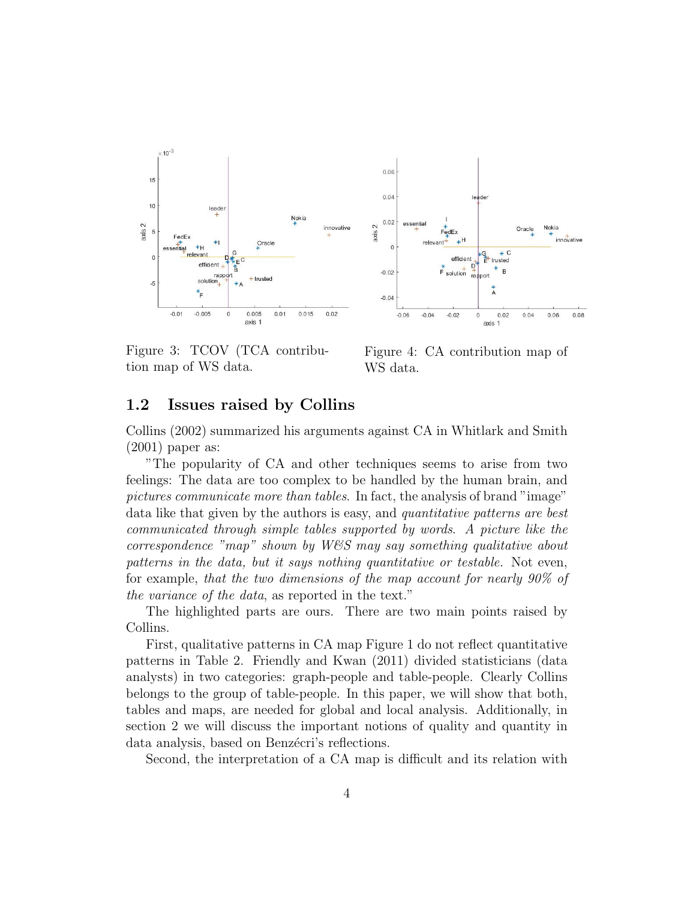

Figure 3: TCOV (TCA contribution map of WS data.

Figure 4: CA contribution map of WS data.

### 1.2 Issues raised by Collins

Collins (2002) summarized his arguments against CA in Whitlark and Smith (2001) paper as:

"The popularity of CA and other techniques seems to arise from two feelings: The data are too complex to be handled by the human brain, and pictures communicate more than tables. In fact, the analysis of brand "image" data like that given by the authors is easy, and *quantitative patterns are best* communicated through simple tables supported by words. A picture like the correspondence "map" shown by W&S may say something qualitative about patterns in the data, but it says nothing quantitative or testable. Not even, for example, that the two dimensions of the map account for nearly 90% of the variance of the data, as reported in the text."

The highlighted parts are ours. There are two main points raised by Collins.

First, qualitative patterns in CA map Figure 1 do not reflect quantitative patterns in Table 2. Friendly and Kwan (2011) divided statisticians (data analysts) in two categories: graph-people and table-people. Clearly Collins belongs to the group of table-people. In this paper, we will show that both, tables and maps, are needed for global and local analysis. Additionally, in section 2 we will discuss the important notions of quality and quantity in data analysis, based on Benzécri's reflections.

Second, the interpretation of a CA map is difficult and its relation with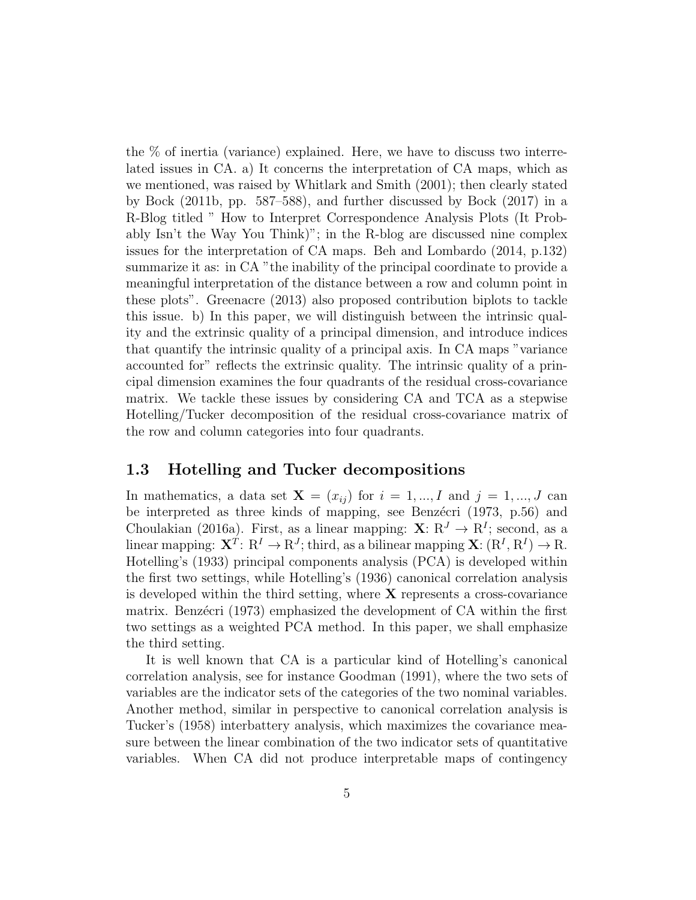the % of inertia (variance) explained. Here, we have to discuss two interrelated issues in CA. a) It concerns the interpretation of CA maps, which as we mentioned, was raised by Whitlark and Smith (2001); then clearly stated by Bock (2011b, pp. 587–588), and further discussed by Bock (2017) in a R-Blog titled " How to Interpret Correspondence Analysis Plots (It Probably Isn't the Way You Think)"; in the R-blog are discussed nine complex issues for the interpretation of CA maps. Beh and Lombardo (2014, p.132) summarize it as: in CA "the inability of the principal coordinate to provide a meaningful interpretation of the distance between a row and column point in these plots". Greenacre (2013) also proposed contribution biplots to tackle this issue. b) In this paper, we will distinguish between the intrinsic quality and the extrinsic quality of a principal dimension, and introduce indices that quantify the intrinsic quality of a principal axis. In CA maps "variance accounted for" reflects the extrinsic quality. The intrinsic quality of a principal dimension examines the four quadrants of the residual cross-covariance matrix. We tackle these issues by considering CA and TCA as a stepwise Hotelling/Tucker decomposition of the residual cross-covariance matrix of the row and column categories into four quadrants.

### 1.3 Hotelling and Tucker decompositions

In mathematics, a data set  $X = (x_{ij})$  for  $i = 1, ..., I$  and  $j = 1, ..., J$  can be interpreted as three kinds of mapping, see Benzécri (1973, p.56) and Choulakian (2016a). First, as a linear mapping:  $X: \mathbb{R}^J \to \mathbb{R}^I$ ; second, as a linear mapping:  $X^T: R^I \to R^J$ ; third, as a bilinear mapping  $X: (R^I, R^I) \to R$ . Hotelling's (1933) principal components analysis (PCA) is developed within the first two settings, while Hotelling's (1936) canonical correlation analysis is developed within the third setting, where  $X$  represents a cross-covariance matrix. Benzécri (1973) emphasized the development of CA within the first two settings as a weighted PCA method. In this paper, we shall emphasize the third setting.

It is well known that CA is a particular kind of Hotelling's canonical correlation analysis, see for instance Goodman (1991), where the two sets of variables are the indicator sets of the categories of the two nominal variables. Another method, similar in perspective to canonical correlation analysis is Tucker's (1958) interbattery analysis, which maximizes the covariance measure between the linear combination of the two indicator sets of quantitative variables. When CA did not produce interpretable maps of contingency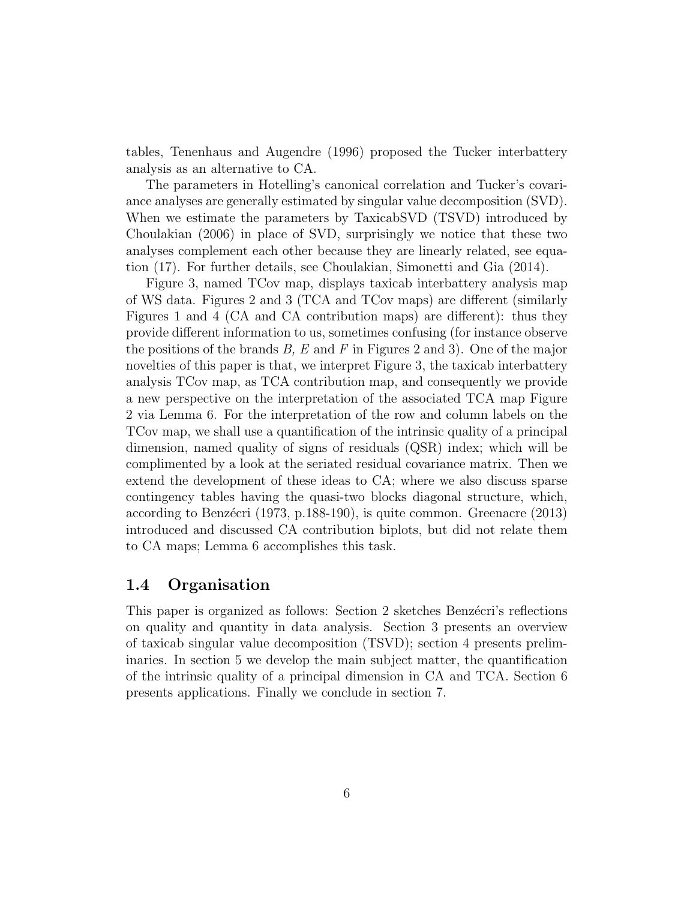tables, Tenenhaus and Augendre (1996) proposed the Tucker interbattery analysis as an alternative to CA.

The parameters in Hotelling's canonical correlation and Tucker's covariance analyses are generally estimated by singular value decomposition (SVD). When we estimate the parameters by TaxicabSVD (TSVD) introduced by Choulakian (2006) in place of SVD, surprisingly we notice that these two analyses complement each other because they are linearly related, see equation (17). For further details, see Choulakian, Simonetti and Gia (2014).

Figure 3, named TCov map, displays taxicab interbattery analysis map of WS data. Figures 2 and 3 (TCA and TCov maps) are different (similarly Figures 1 and 4 (CA and CA contribution maps) are different): thus they provide different information to us, sometimes confusing (for instance observe the positions of the brands  $B$ ,  $E$  and  $F$  in Figures 2 and 3). One of the major novelties of this paper is that, we interpret Figure 3, the taxicab interbattery analysis TCov map, as TCA contribution map, and consequently we provide a new perspective on the interpretation of the associated TCA map Figure 2 via Lemma 6. For the interpretation of the row and column labels on the TCov map, we shall use a quantification of the intrinsic quality of a principal dimension, named quality of signs of residuals (QSR) index; which will be complimented by a look at the seriated residual covariance matrix. Then we extend the development of these ideas to CA; where we also discuss sparse contingency tables having the quasi-two blocks diagonal structure, which, according to Benzécri (1973, p.188-190), is quite common. Greenacre (2013) introduced and discussed CA contribution biplots, but did not relate them to CA maps; Lemma 6 accomplishes this task.

### 1.4 Organisation

This paper is organized as follows: Section 2 sketches Benzecri's reflections on quality and quantity in data analysis. Section 3 presents an overview of taxicab singular value decomposition (TSVD); section 4 presents preliminaries. In section 5 we develop the main subject matter, the quantification of the intrinsic quality of a principal dimension in CA and TCA. Section 6 presents applications. Finally we conclude in section 7.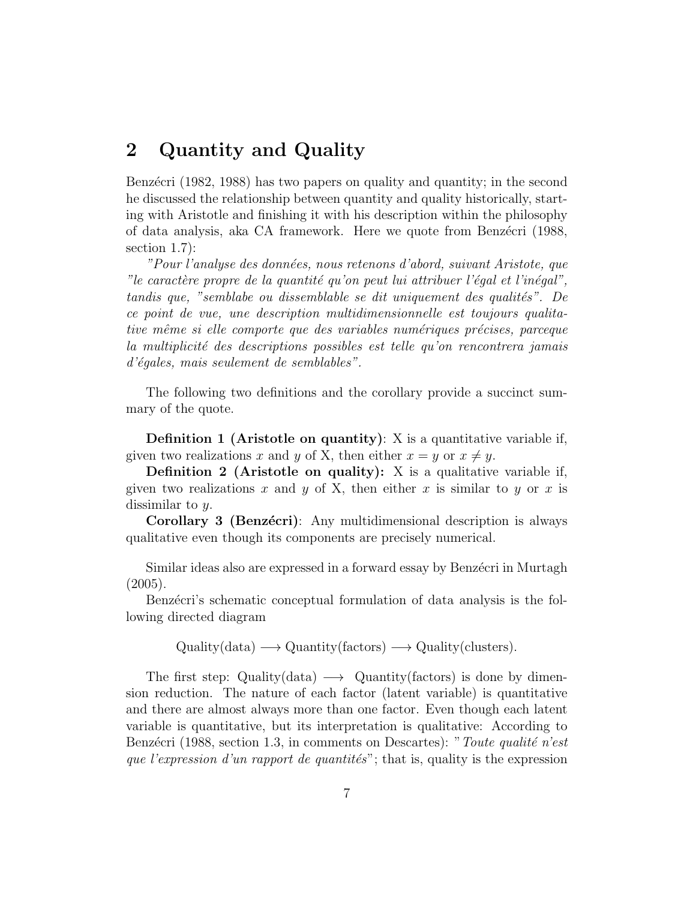# 2 Quantity and Quality

Benzécri (1982, 1988) has two papers on quality and quantity; in the second he discussed the relationship between quantity and quality historically, starting with Aristotle and finishing it with his description within the philosophy of data analysis, aka CA framework. Here we quote from Benz´ecri (1988, section 1.7):

"Pour l'analyse des données, nous retenons d'abord, suivant Aristote, que "le caractère propre de la quantité qu'on peut lui attribuer l'égal et l'inégal", tandis que, "semblabe ou dissemblable se dit uniquement des qualités". De ce point de vue, une description multidimensionnelle est toujours qualitative même si elle comporte que des variables numériques précises, parceque la multiplicité des descriptions possibles est telle qu'on rencontrera jamais d'égales, mais seulement de semblables".

The following two definitions and the corollary provide a succinct summary of the quote.

Definition 1 (Aristotle on quantity): X is a quantitative variable if, given two realizations x and y of X, then either  $x = y$  or  $x \neq y$ .

**Definition 2** (Aristotle on quality): X is a qualitative variable if, given two realizations x and y of X, then either x is similar to y or x is dissimilar to y.

Corollary 3 (Benzécri): Any multidimensional description is always qualitative even though its components are precisely numerical.

Similar ideas also are expressed in a forward essay by Benzécri in Murtagh  $(2005).$ 

Benzécri's schematic conceptual formulation of data analysis is the following directed diagram

 $\text{Quality(data)} \longrightarrow \text{Quantity(factors)} \longrightarrow \text{Quality(clusters)}.$ 

The first step: Quality(data)  $\longrightarrow$  Quantity(factors) is done by dimension reduction. The nature of each factor (latent variable) is quantitative and there are almost always more than one factor. Even though each latent variable is quantitative, but its interpretation is qualitative: According to Benzécri (1988, section 1.3, in comments on Descartes): "Toute qualité n'est que l'expression d'un rapport de quantités"; that is, quality is the expression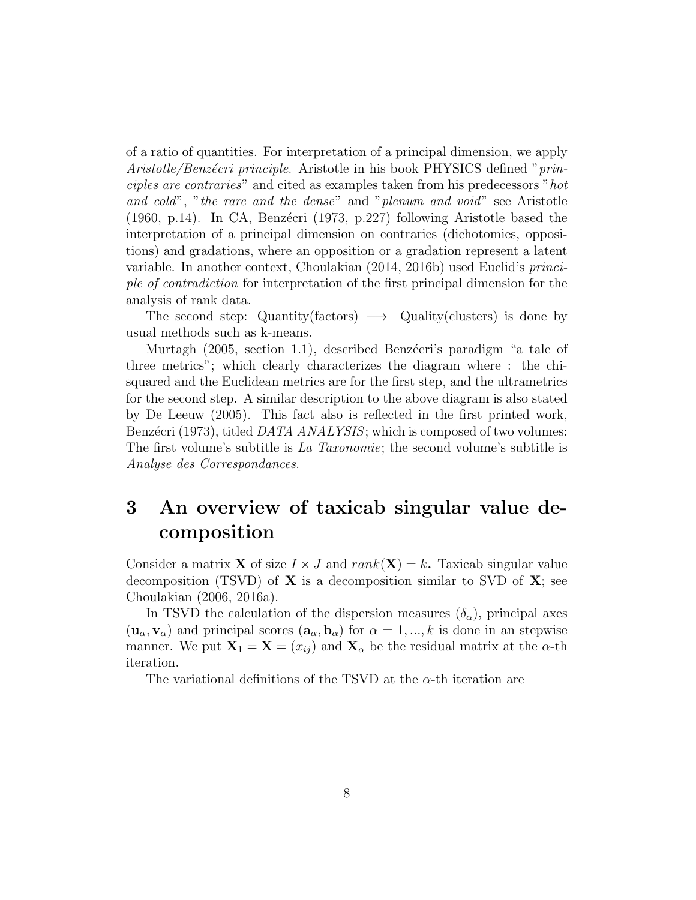of a ratio of quantities. For interpretation of a principal dimension, we apply Aristotle/Benzécri principle. Aristotle in his book PHYSICS defined "principles are contraries" and cited as examples taken from his predecessors "hot and cold", "the rare and the dense" and "plenum and void" see Aristotle (1960, p.14). In CA, Benzécri (1973, p.227) following Aristotle based the interpretation of a principal dimension on contraries (dichotomies, oppositions) and gradations, where an opposition or a gradation represent a latent variable. In another context, Choulakian (2014, 2016b) used Euclid's principle of contradiction for interpretation of the first principal dimension for the analysis of rank data.

The second step: Quantity(factors)  $\longrightarrow$  Quality(clusters) is done by usual methods such as k-means.

Murtagh (2005, section 1.1), described Benzécri's paradigm "a tale of three metrics"; which clearly characterizes the diagram where : the chisquared and the Euclidean metrics are for the first step, and the ultrametrics for the second step. A similar description to the above diagram is also stated by De Leeuw (2005). This fact also is reflected in the first printed work, Benzécri (1973), titled *DATA ANALYSIS*; which is composed of two volumes: The first volume's subtitle is La Taxonomie; the second volume's subtitle is Analyse des Correspondances.

# 3 An overview of taxicab singular value decomposition

Consider a matrix **X** of size  $I \times J$  and  $rank(\mathbf{X}) = k$ . Taxicab singular value decomposition (TSVD) of  $X$  is a decomposition similar to SVD of  $X$ ; see Choulakian (2006, 2016a).

In TSVD the calculation of the dispersion measures  $(\delta_{\alpha})$ , principal axes  $(\mathbf{u}_{\alpha}, \mathbf{v}_{\alpha})$  and principal scores  $(\mathbf{a}_{\alpha}, \mathbf{b}_{\alpha})$  for  $\alpha = 1, ..., k$  is done in an stepwise manner. We put  $\mathbf{X}_1 = \mathbf{X} = (x_{ij})$  and  $\mathbf{X}_{\alpha}$  be the residual matrix at the  $\alpha$ -th iteration.

The variational definitions of the TSVD at the  $\alpha$ -th iteration are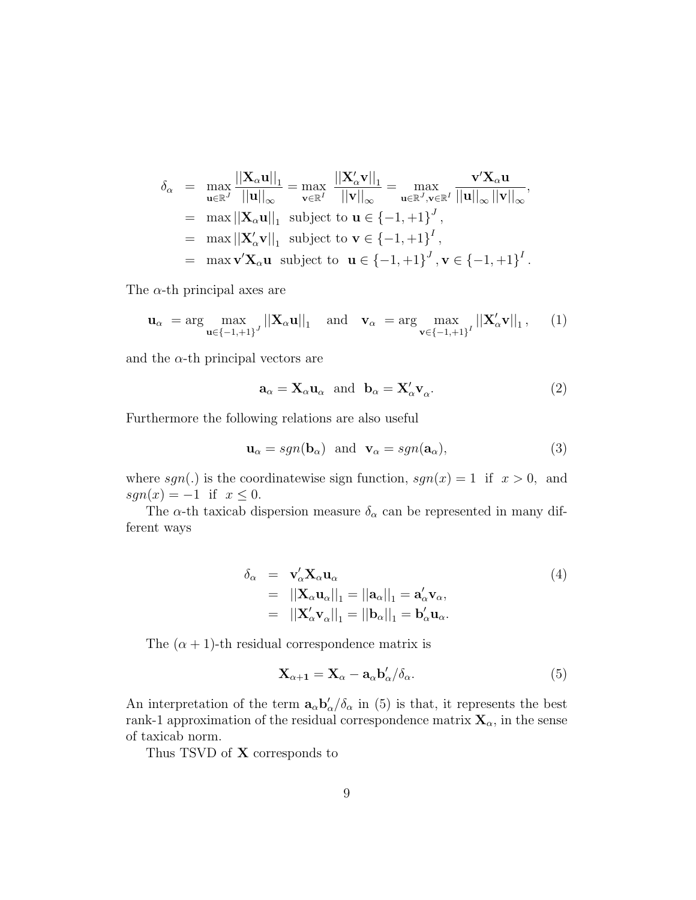$$
\delta_{\alpha} = \max_{\mathbf{u} \in \mathbb{R}^{J}} \frac{||\mathbf{X}_{\alpha}\mathbf{u}||_{1}}{||\mathbf{u}||_{\infty}} = \max_{\mathbf{v} \in \mathbb{R}^{I}} \frac{||\mathbf{X}_{\alpha}'\mathbf{v}||_{1}}{||\mathbf{v}||_{\infty}} = \max_{\mathbf{u} \in \mathbb{R}^{J}, \mathbf{v} \in \mathbb{R}^{I}} \frac{\mathbf{v}'\mathbf{X}_{\alpha}\mathbf{u}}{||\mathbf{u}||_{\infty} ||\mathbf{v}||_{\infty}},
$$
  
\n= max ||\mathbf{X}\_{\alpha}\mathbf{u}||\_{1} subject to  $\mathbf{u} \in \{-1, +1\}^{J}$ ,  
\n= max ||\mathbf{X}\_{\alpha}'\mathbf{v}||\_{1} subject to  $\mathbf{v} \in \{-1, +1\}^{I}$ ,  
\n= max  $\mathbf{v}'\mathbf{X}_{\alpha}\mathbf{u}$  subject to  $\mathbf{u} \in \{-1, +1\}^{J}$ ,  $\mathbf{v} \in \{-1, +1\}^{I}$ .

The  $\alpha$ -th principal axes are

$$
\mathbf{u}_{\alpha} = \arg \max_{\mathbf{u} \in \{-1, +1\}^J} ||\mathbf{X}_{\alpha} \mathbf{u}||_1 \quad \text{and} \quad \mathbf{v}_{\alpha} = \arg \max_{\mathbf{v} \in \{-1, +1\}^I} ||\mathbf{X}_{\alpha}' \mathbf{v}||_1, \tag{1}
$$

and the  $\alpha$ -th principal vectors are

$$
\mathbf{a}_{\alpha} = \mathbf{X}_{\alpha} \mathbf{u}_{\alpha} \text{ and } \mathbf{b}_{\alpha} = \mathbf{X}_{\alpha}' \mathbf{v}_{\alpha}. \tag{2}
$$

Furthermore the following relations are also useful

$$
\mathbf{u}_{\alpha} = sgn(\mathbf{b}_{\alpha}) \text{ and } \mathbf{v}_{\alpha} = sgn(\mathbf{a}_{\alpha}), \tag{3}
$$

where  $sgn(.)$  is the coordinatewise sign function,  $sgn(x) = 1$  if  $x > 0$ , and  $sgn(x) = -1$  if  $x \leq 0$ .

The  $\alpha$ -th taxicab dispersion measure  $\delta_{\alpha}$  can be represented in many different ways

$$
\delta_{\alpha} = \mathbf{v}_{\alpha}' \mathbf{X}_{\alpha} \mathbf{u}_{\alpha} \n= ||\mathbf{X}_{\alpha} \mathbf{u}_{\alpha}||_{1} = ||\mathbf{a}_{\alpha}||_{1} = \mathbf{a}_{\alpha}' \mathbf{v}_{\alpha}, \n= ||\mathbf{X}_{\alpha}' \mathbf{v}_{\alpha}||_{1} = ||\mathbf{b}_{\alpha}||_{1} = \mathbf{b}_{\alpha}' \mathbf{u}_{\alpha}.
$$
\n(4)

The  $(\alpha + 1)$ -th residual correspondence matrix is

$$
\mathbf{X}_{\alpha+1} = \mathbf{X}_{\alpha} - \mathbf{a}_{\alpha} \mathbf{b}_{\alpha}' / \delta_{\alpha}.
$$
 (5)

An interpretation of the term  $\mathbf{a}_{\alpha} \mathbf{b}'_{\alpha}/\delta_{\alpha}$  in (5) is that, it represents the best rank-1 approximation of the residual correspondence matrix  $\mathbf{X}_{\alpha}$ , in the sense of taxicab norm.

Thus TSVD of X corresponds to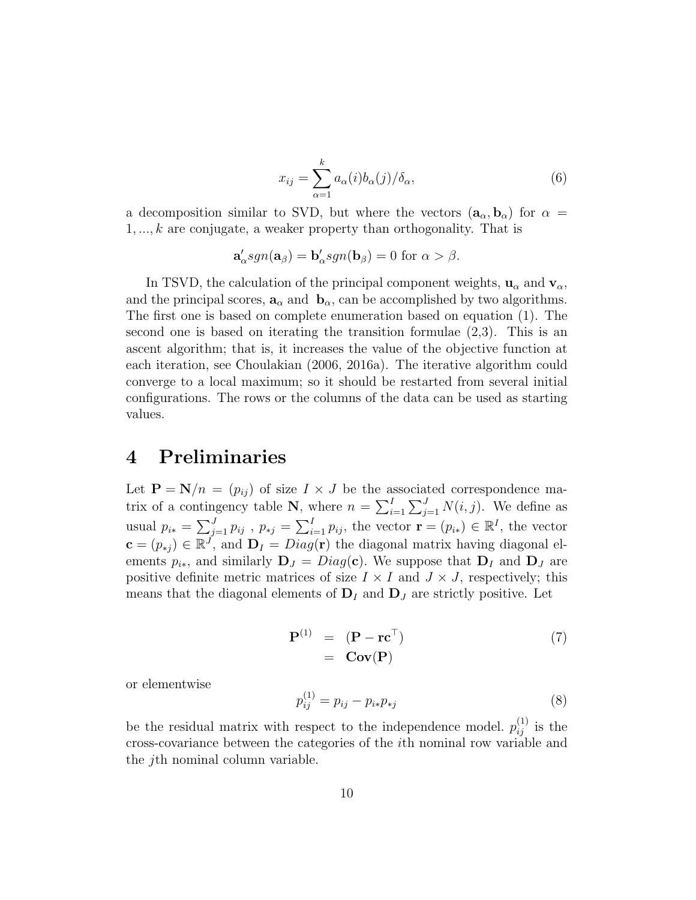$$
x_{ij} = \sum_{\alpha=1}^{k} a_{\alpha}(i)b_{\alpha}(j)/\delta_{\alpha},
$$
\n(6)

a decomposition similar to SVD, but where the vectors  $(a_{\alpha}, b_{\alpha})$  for  $\alpha =$  $1, \ldots, k$  are conjugate, a weaker property than orthogonality. That is

$$
\mathbf{a}'_{\alpha}sgn(\mathbf{a}_{\beta}) = \mathbf{b}'_{\alpha}sgn(\mathbf{b}_{\beta}) = 0 \text{ for } \alpha > \beta.
$$

In TSVD, the calculation of the principal component weights,  $u_{\alpha}$  and  $v_{\alpha}$ , and the principal scores,  $\mathbf{a}_{\alpha}$  and  $\mathbf{b}_{\alpha}$ , can be accomplished by two algorithms. The first one is based on complete enumeration based on equation (1). The second one is based on iterating the transition formulae (2,3). This is an ascent algorithm; that is, it increases the value of the objective function at each iteration, see Choulakian (2006, 2016a). The iterative algorithm could converge to a local maximum; so it should be restarted from several initial configurations. The rows or the columns of the data can be used as starting values.

# 4 Preliminaries

Let  $\mathbf{P} = \mathbf{N}/n = (p_{ij})$  of size  $I \times J$  be the associated correspondence matrix of a contingency table N, where  $n = \sum_{i=1}^{I} \sum_{j=1}^{J} N(i, j)$ . We define as usual  $p_{i*} = \sum_{j=1}^{J} p_{ij}$ ,  $p_{*j} = \sum_{i=1}^{I} p_{ij}$ , the vector  $\mathbf{r} = (p_{i*}) \in \mathbb{R}^{I}$ , the vector  $\mathbf{c} = (p_{*j}) \in \mathbb{R}^{j'}$ , and  $\mathbf{D}_I = Diag(\mathbf{r})$  the diagonal matrix having diagonal elements  $p_{i*}$ , and similarly  $\mathbf{D}_J = Diag(\mathbf{c})$ . We suppose that  $\mathbf{D}_I$  and  $\mathbf{D}_J$  are positive definite metric matrices of size  $I \times I$  and  $J \times J$ , respectively; this means that the diagonal elements of  $D<sub>I</sub>$  and  $D<sub>J</sub>$  are strictly positive. Let

$$
\mathbf{P}^{(1)} = (\mathbf{P} - \mathbf{r}\mathbf{c}^{\top})
$$
  
=  $\mathbf{Cov}(\mathbf{P})$  (7)

or elementwise

$$
p_{ij}^{(1)} = p_{ij} - p_{i*}p_{*j}
$$
 (8)

be the residual matrix with respect to the independence model.  $p_{ij}^{(1)}$  is the cross-covariance between the categories of the ith nominal row variable and the jth nominal column variable.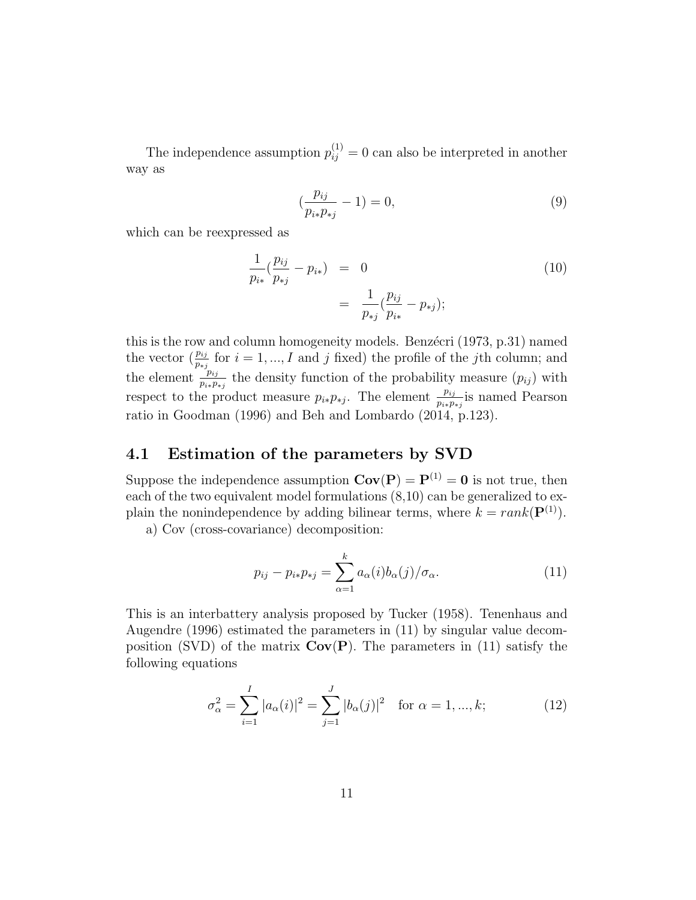The independence assumption  $p_{ij}^{(1)} = 0$  can also be interpreted in another way as

$$
\left(\frac{p_{ij}}{p_{i*}p_{*j}} - 1\right) = 0,\t\t(9)
$$

which can be reexpressed as

$$
\frac{1}{p_{i*}}(\frac{p_{ij}}{p_{*j}} - p_{i*}) = 0
$$
\n
$$
= \frac{1}{p_{*j}}(\frac{p_{ij}}{p_{i*}} - p_{*j});
$$
\n(10)

this is the row and column homogeneity models. Benz $\acute{e}$ cri (1973, p.31) named the vector  $(\frac{p_{ij}}{p_{*j}}$  for  $i = 1, ..., I$  and j fixed) the profile of the jth column; and the element  $\frac{p_{ij}}{p_{i*}p_{*j}}$  the density function of the probability measure  $(p_{ij})$  with respect to the product measure  $p_{i*}p_{*j}$ . The element  $\frac{p_{ij}}{p_{i*}p_{*j}}$  is named Pearson ratio in Goodman (1996) and Beh and Lombardo (2014, p.123).

# 4.1 Estimation of the parameters by SVD

Suppose the independence assumption  $Cov(P) = P^{(1)} = 0$  is not true, then each of the two equivalent model formulations (8,10) can be generalized to explain the nonindependence by adding bilinear terms, where  $k = rank(\mathbf{P}^{(1)})$ .

a) Cov (cross-covariance) decomposition:

$$
p_{ij} - p_{i*} p_{*j} = \sum_{\alpha=1}^{k} a_{\alpha}(i) b_{\alpha}(j) / \sigma_{\alpha}.
$$
 (11)

This is an interbattery analysis proposed by Tucker (1958). Tenenhaus and Augendre (1996) estimated the parameters in (11) by singular value decomposition (SVD) of the matrix  $Cov(P)$ . The parameters in (11) satisfy the following equations

$$
\sigma_{\alpha}^{2} = \sum_{i=1}^{I} |a_{\alpha}(i)|^{2} = \sum_{j=1}^{J} |b_{\alpha}(j)|^{2} \text{ for } \alpha = 1, ..., k;\qquad (12)
$$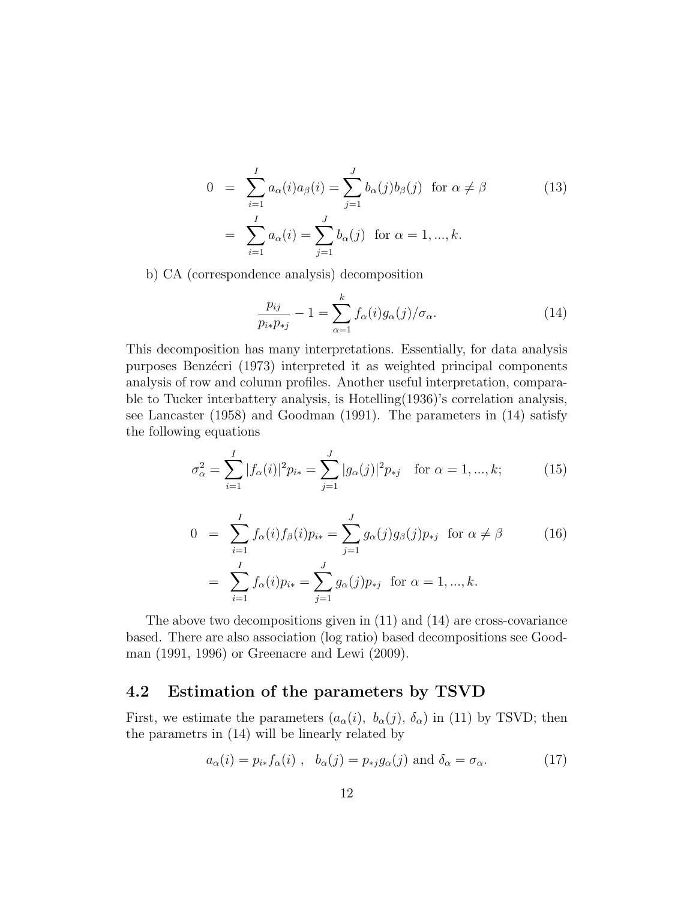$$
0 = \sum_{i=1}^{I} a_{\alpha}(i)a_{\beta}(i) = \sum_{j=1}^{J} b_{\alpha}(j)b_{\beta}(j) \text{ for } \alpha \neq \beta
$$
  
= 
$$
\sum_{i=1}^{I} a_{\alpha}(i) = \sum_{j=1}^{J} b_{\alpha}(j) \text{ for } \alpha = 1, ..., k.
$$
 (13)

b) CA (correspondence analysis) decomposition

$$
\frac{p_{ij}}{p_{i*}p_{*j}} - 1 = \sum_{\alpha=1}^{k} f_{\alpha}(i)g_{\alpha}(j)/\sigma_{\alpha}.
$$
 (14)

This decomposition has many interpretations. Essentially, for data analysis purposes Benzécri (1973) interpreted it as weighted principal components analysis of row and column profiles. Another useful interpretation, comparable to Tucker interbattery analysis, is Hotelling(1936)'s correlation analysis, see Lancaster (1958) and Goodman (1991). The parameters in (14) satisfy the following equations

$$
\sigma_{\alpha}^{2} = \sum_{i=1}^{I} |f_{\alpha}(i)|^{2} p_{i*} = \sum_{j=1}^{J} |g_{\alpha}(j)|^{2} p_{*j} \quad \text{for } \alpha = 1, ..., k; \tag{15}
$$

$$
0 = \sum_{i=1}^{I} f_{\alpha}(i) f_{\beta}(i) p_{i*} = \sum_{j=1}^{J} g_{\alpha}(j) g_{\beta}(j) p_{*j} \text{ for } \alpha \neq \beta
$$
\n
$$
= \sum_{i=1}^{I} f_{\alpha}(i) p_{i*} = \sum_{j=1}^{J} g_{\alpha}(j) p_{*j} \text{ for } \alpha = 1, ..., k.
$$
\n(16)

The above two decompositions given in (11) and (14) are cross-covariance based. There are also association (log ratio) based decompositions see Goodman (1991, 1996) or Greenacre and Lewi (2009).

# 4.2 Estimation of the parameters by TSVD

First, we estimate the parameters  $(a_{\alpha}(i), b_{\alpha}(j), \delta_{\alpha})$  in (11) by TSVD; then the parametrs in (14) will be linearly related by

$$
a_{\alpha}(i) = p_{i*} f_{\alpha}(i) , b_{\alpha}(j) = p_{*j} g_{\alpha}(j) \text{ and } \delta_{\alpha} = \sigma_{\alpha}.
$$
 (17)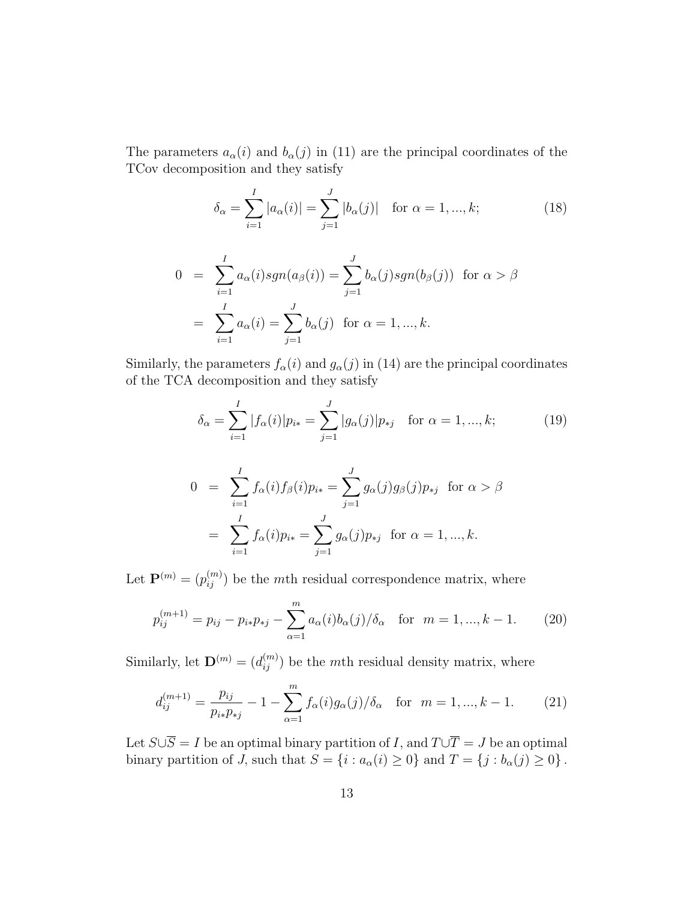The parameters  $a_{\alpha}(i)$  and  $b_{\alpha}(j)$  in (11) are the principal coordinates of the TCov decomposition and they satisfy

$$
\delta_{\alpha} = \sum_{i=1}^{I} |a_{\alpha}(i)| = \sum_{j=1}^{J} |b_{\alpha}(j)| \text{ for } \alpha = 1, ..., k; \tag{18}
$$

$$
0 = \sum_{i=1}^{I} a_{\alpha}(i) sgn(a_{\beta}(i)) = \sum_{j=1}^{J} b_{\alpha}(j) sgn(b_{\beta}(j)) \text{ for } \alpha > \beta
$$
  
= 
$$
\sum_{i=1}^{I} a_{\alpha}(i) = \sum_{j=1}^{J} b_{\alpha}(j) \text{ for } \alpha = 1, ..., k.
$$

Similarly, the parameters  $f_{\alpha}(i)$  and  $g_{\alpha}(j)$  in (14) are the principal coordinates of the TCA decomposition and they satisfy

$$
\delta_{\alpha} = \sum_{i=1}^{I} |f_{\alpha}(i)| p_{i*} = \sum_{j=1}^{J} |g_{\alpha}(j)| p_{*j} \quad \text{for } \alpha = 1, ..., k; \tag{19}
$$

$$
0 = \sum_{i=1}^{I} f_{\alpha}(i) f_{\beta}(i) p_{i*} = \sum_{j=1}^{J} g_{\alpha}(j) g_{\beta}(j) p_{*j} \text{ for } \alpha > \beta
$$

$$
= \sum_{i=1}^{I} f_{\alpha}(i) p_{i*} = \sum_{j=1}^{J} g_{\alpha}(j) p_{*j} \text{ for } \alpha = 1, ..., k.
$$

Let  $\mathbf{P}^{(m)} = (p_{ij}^{(m)})$  be the mth residual correspondence matrix, where

$$
p_{ij}^{(m+1)} = p_{ij} - p_{i*}p_{*j} - \sum_{\alpha=1}^{m} a_{\alpha}(i)b_{\alpha}(j)/\delta_{\alpha} \quad \text{for} \quad m = 1, ..., k - 1.
$$
 (20)

Similarly, let  $\mathbf{D}^{(m)} = (d_{ij}^{(m)})$  be the mth residual density matrix, where

$$
d_{ij}^{(m+1)} = \frac{p_{ij}}{p_{i*}p_{*j}} - 1 - \sum_{\alpha=1}^{m} f_{\alpha}(i)g_{\alpha}(j)/\delta_{\alpha} \quad \text{for} \quad m = 1, ..., k - 1.
$$
 (21)

Let  $S\cup \overline{S} = I$  be an optimal binary partition of I, and  $T\cup \overline{T} = J$  be an optimal binary partition of  $\overrightarrow{J}$ , such that  $\overrightarrow{S} = \{i : a_{\alpha}(i) \geq 0\}$  and  $T = \{j : b_{\alpha}(j) \geq 0\}$ .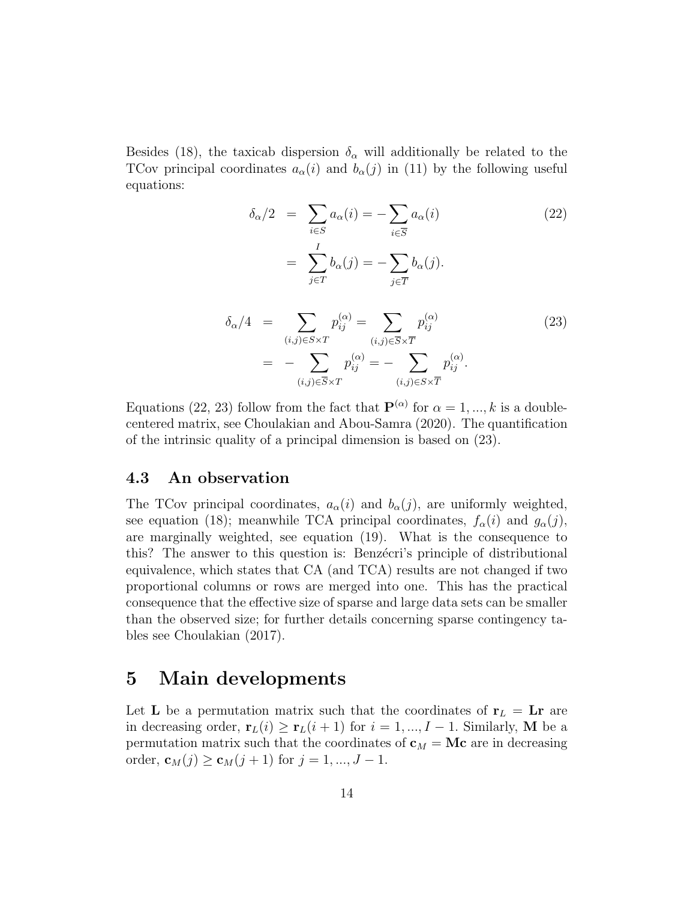Besides (18), the taxicab dispersion  $\delta_{\alpha}$  will additionally be related to the TCov principal coordinates  $a_{\alpha}(i)$  and  $b_{\alpha}(j)$  in (11) by the following useful equations:

$$
\delta_{\alpha}/2 = \sum_{i \in S} a_{\alpha}(i) = -\sum_{i \in \overline{S}} a_{\alpha}(i)
$$
\n
$$
= \sum_{j \in T} b_{\alpha}(j) = -\sum_{j \in \overline{T}} b_{\alpha}(j).
$$
\n
$$
\delta_{\alpha}/4 = \sum_{(i,j) \in S \times T} p_{ij}^{(\alpha)} = \sum_{(i,j) \in \overline{S} \times \overline{T}} p_{ij}^{(\alpha)}
$$
\n
$$
= -\sum_{(i,j) \in \overline{S} \times T} p_{ij}^{(\alpha)} = -\sum_{(i,j) \in \overline{S} \times \overline{T}} p_{ij}^{(\alpha)}.
$$
\n(23)

Equations (22, 23) follow from the fact that  $\mathbf{P}^{(\alpha)}$  for  $\alpha = 1, ..., k$  is a doublecentered matrix, see Choulakian and Abou-Samra (2020). The quantification of the intrinsic quality of a principal dimension is based on (23).

### 4.3 An observation

The TCov principal coordinates,  $a_{\alpha}(i)$  and  $b_{\alpha}(j)$ , are uniformly weighted, see equation (18); meanwhile TCA principal coordinates,  $f_{\alpha}(i)$  and  $g_{\alpha}(j)$ , are marginally weighted, see equation (19). What is the consequence to this? The answer to this question is: Benzecri's principle of distributional equivalence, which states that CA (and TCA) results are not changed if two proportional columns or rows are merged into one. This has the practical consequence that the effective size of sparse and large data sets can be smaller than the observed size; for further details concerning sparse contingency tables see Choulakian (2017).

# 5 Main developments

Let **L** be a permutation matrix such that the coordinates of  $r_L = Lr$  are in decreasing order,  $\mathbf{r}_L(i) \geq \mathbf{r}_L(i+1)$  for  $i = 1, ..., I-1$ . Similarly, M be a permutation matrix such that the coordinates of  $\mathbf{c}_M = \mathbf{M}\mathbf{c}$  are in decreasing order,  $\mathbf{c}_M(j) \geq \mathbf{c}_M(j+1)$  for  $j = 1, ..., J-1$ .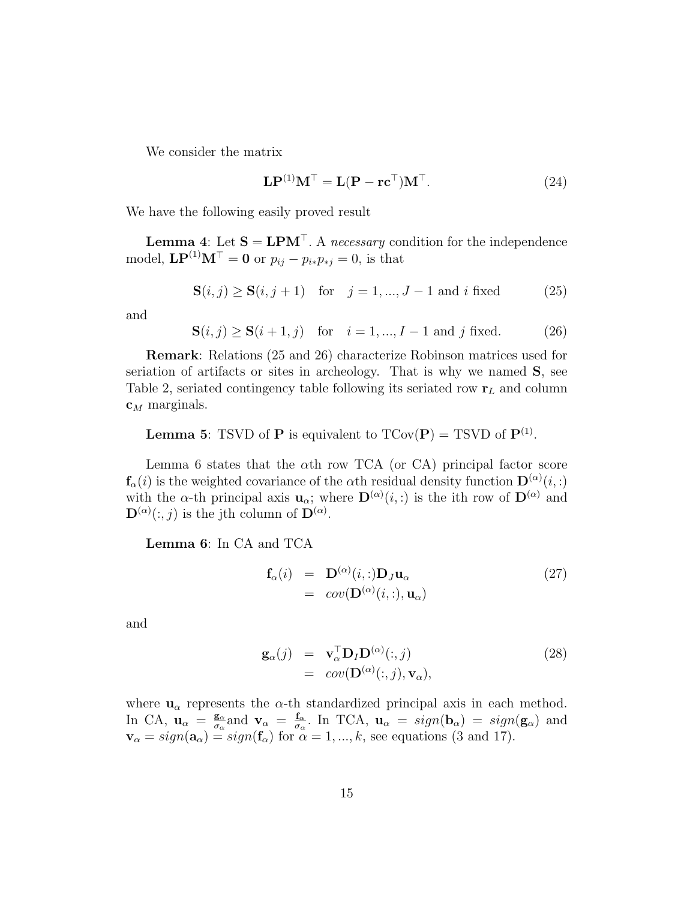We consider the matrix

$$
\mathbf{LP}^{(1)}\mathbf{M}^{\top} = \mathbf{L}(\mathbf{P} - \mathbf{r}\mathbf{c}^{\top})\mathbf{M}^{\top}.
$$
 (24)

We have the following easily proved result

**Lemma 4:** Let  $S = LPM^{\top}$ . A necessary condition for the independence model,  $\mathbf{LP}^{(1)}\mathbf{M}^\top = \mathbf{0}$  or  $p_{ij} - p_{i*}p_{*j} = 0$ , is that

$$
S(i, j) \ge S(i, j + 1)
$$
 for  $j = 1, ..., J - 1$  and i fixed (25)

and

 $S(i, j) \ge S(i + 1, j)$  for  $i = 1, ..., I - 1$  and j fixed. (26)

Remark: Relations (25 and 26) characterize Robinson matrices used for seriation of artifacts or sites in archeology. That is why we named S, see Table 2, seriated contingency table following its seriated row  $r<sub>L</sub>$  and column  $\mathbf{c}_M$  marginals.

**Lemma 5:** TSVD of **P** is equivalent to  $TCov(P) = TSVD$  of  $P^{(1)}$ .

Lemma 6 states that the  $\alpha$ th row TCA (or CA) principal factor score  $\mathbf{f}_{\alpha}(i)$  is the weighted covariance of the  $\alpha$ th residual density function  $\mathbf{D}^{(\alpha)}(i,:)$ with the  $\alpha$ -th principal axis  $\mathbf{u}_{\alpha}$ ; where  $\mathbf{D}^{(\alpha)}(i,:)$  is the ith row of  $\mathbf{D}^{(\alpha)}$  and  $\mathbf{D}^{(\alpha)}(:,j)$  is the jth column of  $\mathbf{D}^{(\alpha)}$ .

Lemma 6: In CA and TCA

$$
\mathbf{f}_{\alpha}(i) = \mathbf{D}^{(\alpha)}(i,:) \mathbf{D}_{J} \mathbf{u}_{\alpha} \n= cov(\mathbf{D}^{(\alpha)}(i,:) , \mathbf{u}_{\alpha})
$$
\n(27)

and

$$
\mathbf{g}_{\alpha}(j) = \mathbf{v}_{\alpha}^{\top} \mathbf{D}_{I} \mathbf{D}^{(\alpha)}(:,j) \n= cov(\mathbf{D}^{(\alpha)}(:,j), \mathbf{v}_{\alpha}),
$$
\n(28)

where  $\mathbf{u}_{\alpha}$  represents the  $\alpha$ -th standardized principal axis in each method. In CA,  $\mathbf{u}_{\alpha} = \frac{\mathbf{g}_{\alpha}}{\sigma_{\alpha}}$  $\frac{\mathbf{g}_{\alpha}}{\sigma_{\alpha}}$  and  $\mathbf{v}_{\alpha} = \frac{\mathbf{f}_{\alpha}}{\sigma_{\alpha}}$  $\frac{\mathbf{f}_{\alpha}}{\sigma_{\alpha}}$ . In TCA,  $\mathbf{u}_{\alpha} = sign(\mathbf{b}_{\alpha}) = sign(\mathbf{g}_{\alpha})$  and  $\mathbf{v}_{\alpha} = sign(\mathbf{a}_{\alpha}) = sign(\mathbf{f}_{\alpha})$  for  $\alpha = 1, ..., k$ , see equations (3 and 17).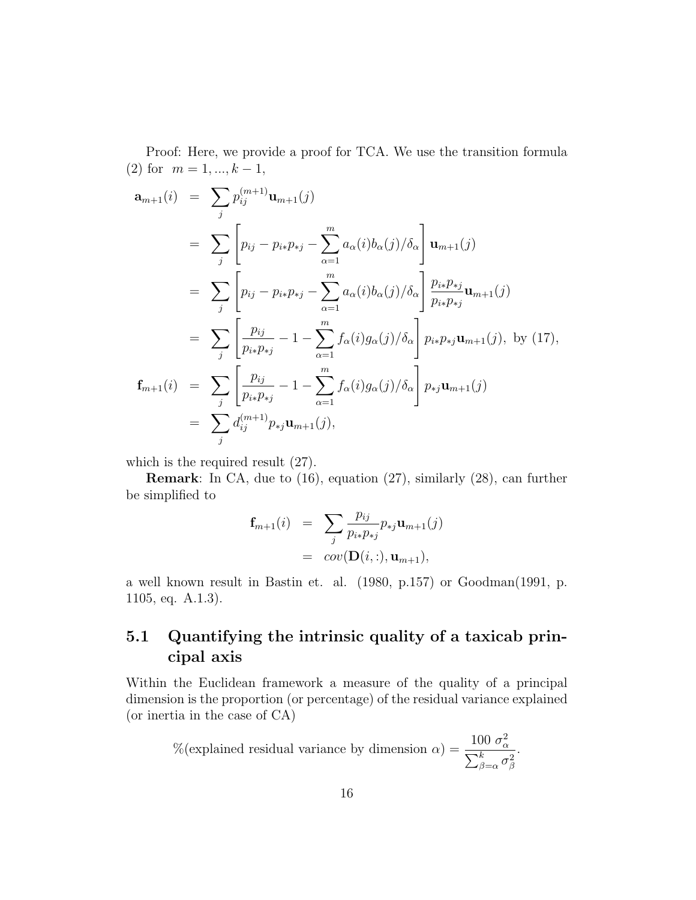Proof: Here, we provide a proof for TCA. We use the transition formula (2) for  $m = 1, ..., k - 1$ ,

$$
\mathbf{a}_{m+1}(i) = \sum_{j} p_{ij}^{(m+1)} \mathbf{u}_{m+1}(j)
$$
  
\n
$$
= \sum_{j} \left[ p_{ij} - p_{i*}p_{*j} - \sum_{\alpha=1}^{m} a_{\alpha}(i)b_{\alpha}(j)/\delta_{\alpha} \right] \mathbf{u}_{m+1}(j)
$$
  
\n
$$
= \sum_{j} \left[ p_{ij} - p_{i*}p_{*j} - \sum_{\alpha=1}^{m} a_{\alpha}(i)b_{\alpha}(j)/\delta_{\alpha} \right] \frac{p_{i*}p_{*j}}{p_{i*}p_{*j}} \mathbf{u}_{m+1}(j)
$$
  
\n
$$
= \sum_{j} \left[ \frac{p_{ij}}{p_{i*}p_{*j}} - 1 - \sum_{\alpha=1}^{m} f_{\alpha}(i)g_{\alpha}(j)/\delta_{\alpha} \right] p_{i*}p_{*j} \mathbf{u}_{m+1}(j), \text{ by (17)},
$$
  
\n
$$
\mathbf{f}_{m+1}(i) = \sum_{j} \left[ \frac{p_{ij}}{p_{i*}p_{*j}} - 1 - \sum_{\alpha=1}^{m} f_{\alpha}(i)g_{\alpha}(j)/\delta_{\alpha} \right] p_{*j} \mathbf{u}_{m+1}(j)
$$
  
\n
$$
= \sum_{j} d_{ij}^{(m+1)} p_{*j} \mathbf{u}_{m+1}(j),
$$

which is the required result (27).

Remark: In CA, due to (16), equation (27), similarly (28), can further be simplified to

$$
\mathbf{f}_{m+1}(i) = \sum_{j} \frac{p_{ij}}{p_{i*}p_{*j}} p_{*j} \mathbf{u}_{m+1}(j)
$$
  
=  $cov(\mathbf{D}(i,:), \mathbf{u}_{m+1}),$ 

a well known result in Bastin et. al. (1980, p.157) or Goodman(1991, p. 1105, eq. A.1.3).

# 5.1 Quantifying the intrinsic quality of a taxicab principal axis

Within the Euclidean framework a measure of the quality of a principal dimension is the proportion (or percentage) of the residual variance explained (or inertia in the case of CA)

$$
\%(\text{explained residual variance by dimension }\alpha) = \frac{100 \sigma_{\alpha}^2}{\sum_{\beta=\alpha}^k \sigma_{\beta}^2}.
$$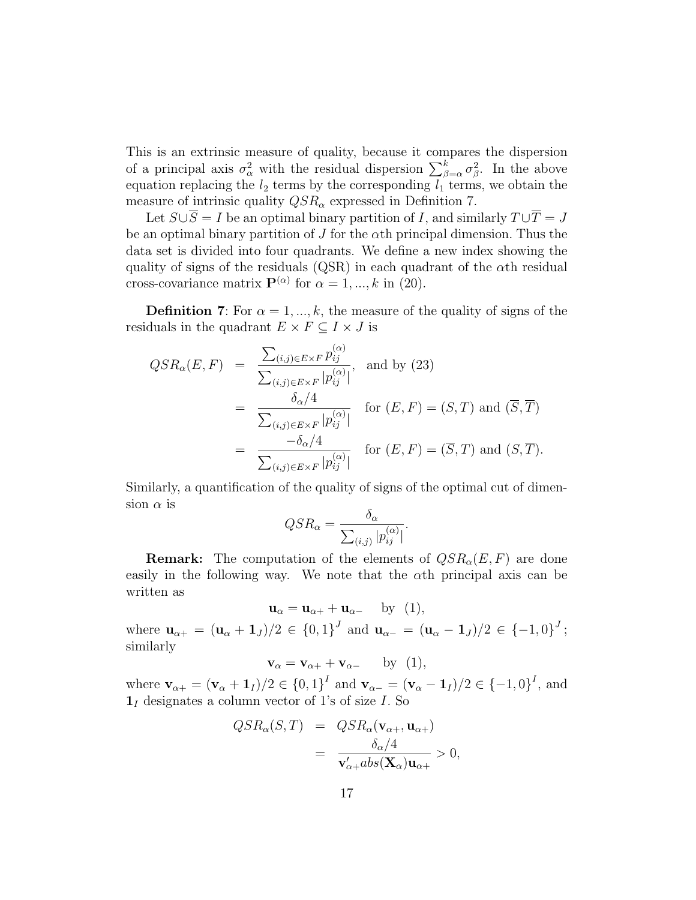This is an extrinsic measure of quality, because it compares the dispersion of a principal axis  $\sigma_{\alpha}^2$  with the residual dispersion  $\sum_{\beta=\alpha}^k \sigma_{\beta}^2$ . In the above equation replacing the  $l_2$  terms by the corresponding  $l_1$  terms, we obtain the measure of intrinsic quality  $QSR_{\alpha}$  expressed in Definition 7.

Let  $S \cup S = I$  be an optimal binary partition of I, and similarly  $T \cup T = J$ be an optimal binary partition of  $J$  for the  $\alpha$ th principal dimension. Thus the data set is divided into four quadrants. We define a new index showing the quality of signs of the residuals (QSR) in each quadrant of the  $\alpha$ th residual cross-covariance matrix  $\mathbf{P}^{(\alpha)}$  for  $\alpha = 1, ..., k$  in (20).

**Definition 7:** For  $\alpha = 1, ..., k$ , the measure of the quality of signs of the residuals in the quadrant  $E \times F \subseteq I \times J$  is

$$
QSR_{\alpha}(E, F) = \frac{\sum_{(i,j) \in E \times F} p_{ij}^{(\alpha)}}{\sum_{(i,j) \in E \times F} |p_{ij}^{(\alpha)}|}, \text{ and by (23)}
$$
  

$$
= \frac{\delta_{\alpha}/4}{\sum_{(i,j) \in E \times F} |p_{ij}^{(\alpha)}|} \text{ for } (E, F) = (S, T) \text{ and } (\overline{S}, \overline{T})
$$
  

$$
= \frac{-\delta_{\alpha}/4}{\sum_{(i,j) \in E \times F} |p_{ij}^{(\alpha)}|} \text{ for } (E, F) = (\overline{S}, T) \text{ and } (S, \overline{T}).
$$

Similarly, a quantification of the quality of signs of the optimal cut of dimension  $\alpha$  is

$$
QSR_{\alpha} = \frac{\delta_{\alpha}}{\sum_{(i,j)} |p_{ij}^{(\alpha)}|}.
$$

**Remark:** The computation of the elements of  $QSR_{\alpha}(E, F)$  are done easily in the following way. We note that the  $\alpha$ th principal axis can be written as

 $u_{\alpha} = u_{\alpha+} + u_{\alpha-}$  by (1),

where  $\mathbf{u}_{\alpha+} = (\mathbf{u}_{\alpha} + \mathbf{1}_J)/2 \in \{0,1\}^J$  and  $\mathbf{u}_{\alpha-} = (\mathbf{u}_{\alpha} - \mathbf{1}_J)/2 \in \{-1,0\}^J$ ; similarly

$$
\mathbf{v}_{\alpha} = \mathbf{v}_{\alpha+} + \mathbf{v}_{\alpha-} \qquad \text{by} \ \ (1),
$$

where  $\mathbf{v}_{\alpha+} = (\mathbf{v}_{\alpha} + \mathbf{1}_I)/2 \in \{0,1\}^I$  and  $\mathbf{v}_{\alpha-} = (\mathbf{v}_{\alpha} - \mathbf{1}_I)/2 \in \{-1,0\}^I$ , and  $\mathbf{1}_I$  designates a column vector of 1's of size I. So

$$
QSR_{\alpha}(S,T) = QSR_{\alpha}(\mathbf{v}_{\alpha+}, \mathbf{u}_{\alpha+})
$$
  
= 
$$
\frac{\delta_{\alpha}/4}{\mathbf{v}'_{\alpha+}abs(\mathbf{X}_{\alpha})\mathbf{u}_{\alpha+}} > 0,
$$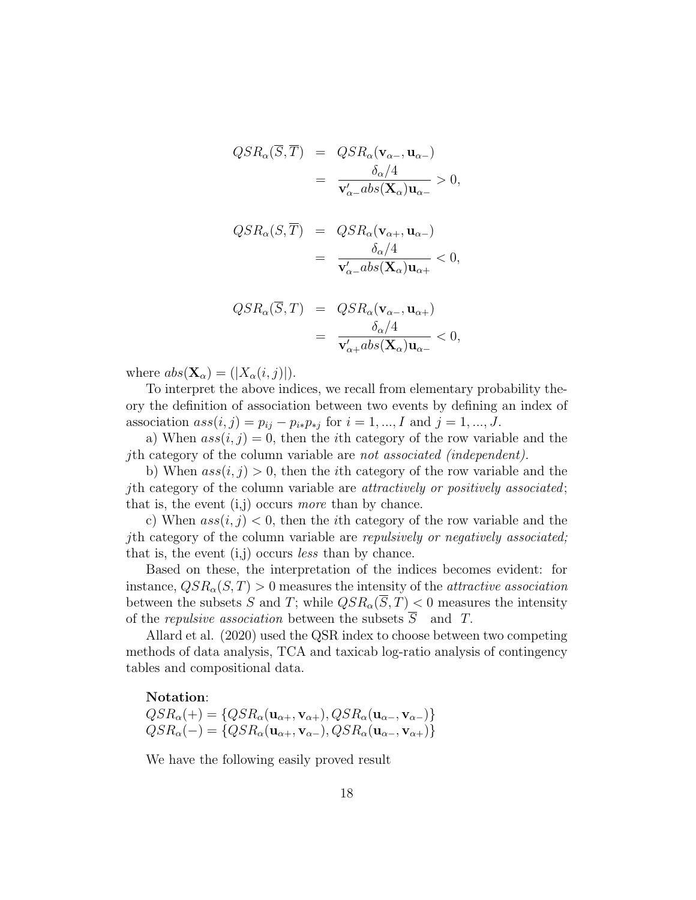$$
QSR_{\alpha}(\overline{S}, \overline{T}) = QSR_{\alpha}(\mathbf{v}_{\alpha-}, \mathbf{u}_{\alpha-})
$$
  
= 
$$
\frac{\delta_{\alpha}/4}{\mathbf{v}_{\alpha-}^{\prime}abs(\mathbf{X}_{\alpha})\mathbf{u}_{\alpha-}} > 0,
$$

$$
QSR_{\alpha}(S,\overline{T}) = QSR_{\alpha}(\mathbf{v}_{\alpha+}, \mathbf{u}_{\alpha-})
$$
  
= 
$$
\frac{\delta_{\alpha}/4}{\mathbf{v}_{\alpha-}^{\prime}abs(\mathbf{X}_{\alpha})\mathbf{u}_{\alpha+}} < 0,
$$

$$
QSR_{\alpha}(\overline{S},T) = QSR_{\alpha}(\mathbf{v}_{\alpha-}, \mathbf{u}_{\alpha+})
$$
  
= 
$$
\frac{\delta_{\alpha}/4}{\mathbf{v}'_{\alpha+}abs(\mathbf{X}_{\alpha})\mathbf{u}_{\alpha-}} < 0,
$$

where  $abs(\mathbf{X}_{\alpha}) = (|X_{\alpha}(i,j)|).$ 

To interpret the above indices, we recall from elementary probability theory the definition of association between two events by defining an index of association  $ass(i, j) = p_{ij} - p_{i*}p_{*j}$  for  $i = 1, ..., I$  and  $j = 1, ..., J$ .

a) When  $ass(i, j) = 0$ , then the *i*th category of the row variable and the jth category of the column variable are not associated (independent).

b) When  $ass(i, j) > 0$ , then the *i*th category of the row variable and the jth category of the column variable are attractively or positively associated; that is, the event  $(i,j)$  occurs more than by chance.

c) When  $ass(i, j) < 0$ , then the *i*th category of the row variable and the jth category of the column variable are repulsively or negatively associated; that is, the event  $(i,j)$  occurs *less* than by chance.

Based on these, the interpretation of the indices becomes evident: for instance,  $QSR_{\alpha}(S,T) > 0$  measures the intensity of the *attractive association* between the subsets S and T; while  $QSR_{\alpha}(\overline{S},T) < 0$  measures the intensity of the *repulsive association* between the subsets  $\overline{S}$  and T.

Allard et al. (2020) used the QSR index to choose between two competing methods of data analysis, TCA and taxicab log-ratio analysis of contingency tables and compositional data.

#### Notation:

 $QSR_{\alpha}(+) = \{QSR_{\alpha}(\mathbf{u}_{\alpha+}, \mathbf{v}_{\alpha+}), QSR_{\alpha}(\mathbf{u}_{\alpha-}, \mathbf{v}_{\alpha-})\}$  $QSR_{\alpha}(-) = \{QSR_{\alpha}(\mathbf{u}_{\alpha+}, \mathbf{v}_{\alpha-}), QSR_{\alpha}(\mathbf{u}_{\alpha-}, \mathbf{v}_{\alpha+})\}$ 

We have the following easily proved result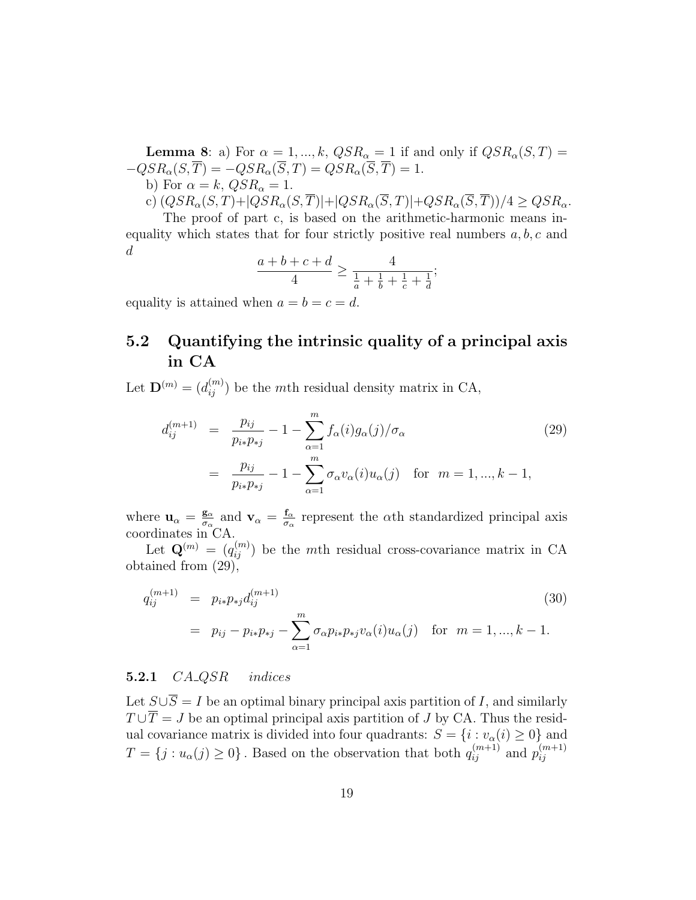**Lemma 8**: a) For  $\alpha = 1, ..., k$ ,  $QSR_{\alpha} = 1$  if and only if  $QSR_{\alpha}(S,T) =$  $-QSR_{\alpha}(S,\overline{T}) = -QSR_{\alpha}(\overline{S},T) = QSR_{\alpha}(\overline{S},\overline{T}) = 1.$ b) For  $\alpha = k$ ,  $QSR_{\alpha} = 1$ .

c) 
$$
(QSR_{\alpha}(S,T)+|QSR_{\alpha}(S,\overline{T})|+|QSR_{\alpha}(\overline{S},T)|+QSR_{\alpha}(\overline{S},\overline{T}))/4 \geq QSR_{\alpha}
$$
.

The proof of part c, is based on the arithmetic-harmonic means inequality which states that for four strictly positive real numbers  $a, b, c$  and d

$$
\frac{a+b+c+d}{4} \ge \frac{4}{\frac{1}{a} + \frac{1}{b} + \frac{1}{c} + \frac{1}{d}};
$$

equality is attained when  $a = b = c = d$ .

# 5.2 Quantifying the intrinsic quality of a principal axis in CA

Let  $\mathbf{D}^{(m)} = (d_{ij}^{(m)})$  be the mth residual density matrix in CA,

$$
d_{ij}^{(m+1)} = \frac{p_{ij}}{p_{i*}p_{*j}} - 1 - \sum_{\alpha=1}^{m} f_{\alpha}(i)g_{\alpha}(j)/\sigma_{\alpha}
$$
 (29)  

$$
= \frac{p_{ij}}{p_{i*}p_{*j}} - 1 - \sum_{\alpha=1}^{m} \sigma_{\alpha}v_{\alpha}(i)u_{\alpha}(j) \text{ for } m = 1, ..., k - 1,
$$

where  $\mathbf{u}_{\alpha} = \frac{\mathbf{g}_{\alpha}}{\sigma_{\alpha}}$  $\frac{\mathbf{g}_{\alpha}}{\sigma_{\alpha}}$  and  $\mathbf{v}_{\alpha} = \frac{\mathbf{f}_{\alpha}}{\sigma_{\alpha}}$  $\frac{f_{\alpha}}{\sigma_{\alpha}}$  represent the  $\alpha$ th standardized principal axis coordinates in CA.

Let  $\mathbf{Q}^{(m)} = (q_{ij}^{(m)})$  be the mth residual cross-covariance matrix in CA obtained from (29),

$$
q_{ij}^{(m+1)} = p_{i*}p_{*j}d_{ij}^{(m+1)}
$$
  
=  $p_{ij} - p_{i*}p_{*j} - \sum_{\alpha=1}^{m} \sigma_{\alpha} p_{i*}p_{*j}v_{\alpha}(i)u_{\alpha}(j)$  for  $m = 1, ..., k - 1$ . (30)

#### 5.2.1  $CA\_\text{QSR}$  indices

Let  $S \cup \overline{S} = I$  be an optimal binary principal axis partition of I, and similarly  $T \cup \overline{T} = J$  be an optimal principal axis partition of J by CA. Thus the residual covariance matrix is divided into four quadrants:  $S = \{i : v_{\alpha}(i) \ge 0\}$  and  $T = \{j : u_\alpha(j) \ge 0\}$ . Based on the observation that both  $q_{ij}^{(m+1)}$  and  $p_{ij}^{(m+1)}$ ij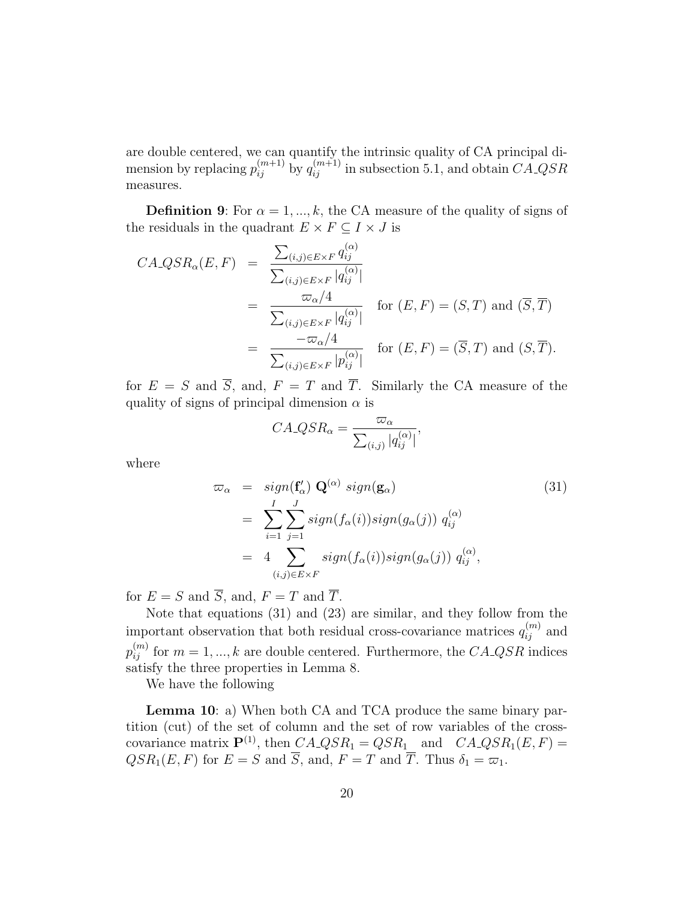are double centered, we can quantify the intrinsic quality of CA principal dimension by replacing  $p_{ij}^{(m+1)}$  by  $q_{ij}^{(m+1)}$  in subsection 5.1, and obtain  $CA\_QSR$ measures.

**Definition 9:** For  $\alpha = 1, ..., k$ , the CA measure of the quality of signs of the residuals in the quadrant  $E \times F \subseteq I \times J$  is

$$
CA\_\mathcal{QSR}_{\alpha}(E,F) = \frac{\sum_{(i,j)\in E\times F} q_{ij}^{(\alpha)}}{\sum_{(i,j)\in E\times F} |q_{ij}^{(\alpha)}|}
$$
  
= 
$$
\frac{\varpi_{\alpha}/4}{\sum_{(i,j)\in E\times F} |q_{ij}^{(\alpha)}|}
$$
 for  $(E,F) = (S,T)$  and  $(\overline{S},\overline{T})$   
= 
$$
\frac{-\varpi_{\alpha}/4}{\sum_{(i,j)\in E\times F} |p_{ij}^{(\alpha)}|}
$$
 for  $(E,F) = (\overline{S},T)$  and  $(S,\overline{T})$ .

for  $E = S$  and  $\overline{S}$ , and,  $F = T$  and  $\overline{T}$ . Similarly the CA measure of the quality of signs of principal dimension  $\alpha$  is

$$
CA\_\text{QSR}_\alpha = \frac{\varpi_\alpha}{\sum_{(i,j)} |q_{ij}^{(\alpha)}|},
$$

where

$$
\varpi_{\alpha} = sign(\mathbf{f}'_{\alpha}) \mathbf{Q}^{(\alpha)} sign(\mathbf{g}_{\alpha})
$$
\n
$$
= \sum_{i=1}^{I} \sum_{j=1}^{J} sign(f_{\alpha}(i)) sign(g_{\alpha}(j)) q_{ij}^{(\alpha)}
$$
\n
$$
= 4 \sum_{(i,j) \in E \times F} sign(f_{\alpha}(i)) sign(g_{\alpha}(j)) q_{ij}^{(\alpha)},
$$
\n(31)

for  $E = S$  and  $\overline{S}$ , and,  $F = T$  and  $\overline{T}$ .

Note that equations (31) and (23) are similar, and they follow from the important observation that both residual cross-covariance matrices  $q_{ij}^{(m)}$  and  $p_{ij}^{(m)}$  for  $m = 1, ..., k$  are double centered. Furthermore, the  $C A \_Q S R$  indices satisfy the three properties in Lemma 8.

We have the following

**Lemma 10**: a) When both CA and TCA produce the same binary partition (cut) of the set of column and the set of row variables of the crosscovariance matrix  $\mathbf{P}^{(1)}$ , then  $C A \_ Q S R_1 = Q S R_1$  and  $C A \_ Q S R_1 (E, F) =$  $QSR_1(E, F)$  for  $E = S$  and  $\overline{S}$ , and,  $F = T$  and  $\overline{T}$ . Thus  $\delta_1 = \varpi_1$ .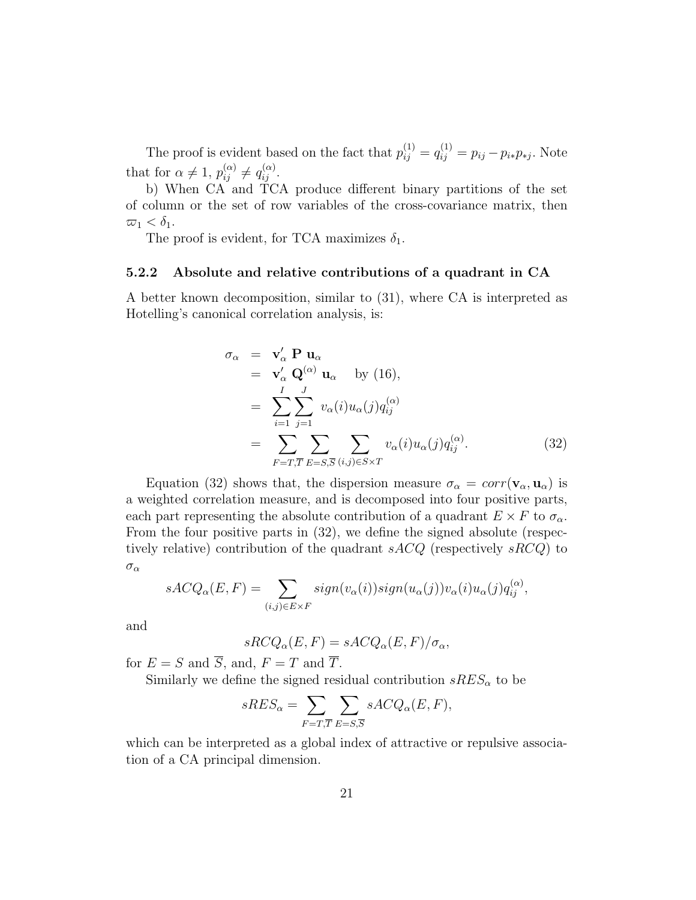The proof is evident based on the fact that  $p_{ij}^{(1)} = q_{ij}^{(1)} = p_{ij} - p_{i*}p_{*j}$ . Note that for  $\alpha \neq 1$ ,  $p_{ij}^{(\alpha)} \neq q_{ij}^{(\alpha)}$ .

b) When CA and TCA produce different binary partitions of the set of column or the set of row variables of the cross-covariance matrix, then  $\overline{\omega}_1 < \delta_1.$ 

The proof is evident, for TCA maximizes  $\delta_1$ .

#### 5.2.2 Absolute and relative contributions of a quadrant in CA

A better known decomposition, similar to (31), where CA is interpreted as Hotelling's canonical correlation analysis, is:

$$
\sigma_{\alpha} = \mathbf{v}_{\alpha}' \mathbf{P} \mathbf{u}_{\alpha}
$$
  
\n
$$
= \mathbf{v}_{\alpha}' \mathbf{Q}^{(\alpha)} \mathbf{u}_{\alpha} \text{ by (16)},
$$
  
\n
$$
= \sum_{i=1}^{I} \sum_{j=1}^{J} v_{\alpha}(i) u_{\alpha}(j) q_{ij}^{(\alpha)}
$$
  
\n
$$
= \sum_{F=T, \overline{T}} \sum_{E=S, \overline{S}} \sum_{(i,j) \in S \times T} v_{\alpha}(i) u_{\alpha}(j) q_{ij}^{(\alpha)}.
$$
 (32)

Equation (32) shows that, the dispersion measure  $\sigma_{\alpha} = corr(\mathbf{v}_{\alpha}, \mathbf{u}_{\alpha})$  is a weighted correlation measure, and is decomposed into four positive parts, each part representing the absolute contribution of a quadrant  $E \times F$  to  $\sigma_{\alpha}$ . From the four positive parts in (32), we define the signed absolute (respectively relative) contribution of the quadrant  $sACQ$  (respectively  $sRCQ$ ) to  $\sigma_\alpha$ 

$$
sACQ_{\alpha}(E,F) = \sum_{(i,j)\in E\times F} sign(v_{\alpha}(i))sign(u_{\alpha}(j))v_{\alpha}(i)u_{\alpha}(j)q_{ij}^{(\alpha)},
$$

and

$$
sRCQ_{\alpha}(E,F) = sACQ_{\alpha}(E,F)/\sigma_{\alpha},
$$

for  $E = S$  and  $\overline{S}$ , and,  $F = T$  and  $\overline{T}$ .

Similarly we define the signed residual contribution  $sRES_{\alpha}$  to be

$$
sRES_{\alpha} = \sum_{F=T,\overline{T}} \sum_{E=S,\overline{S}} sACQ_{\alpha}(E,F),
$$

which can be interpreted as a global index of attractive or repulsive association of a CA principal dimension.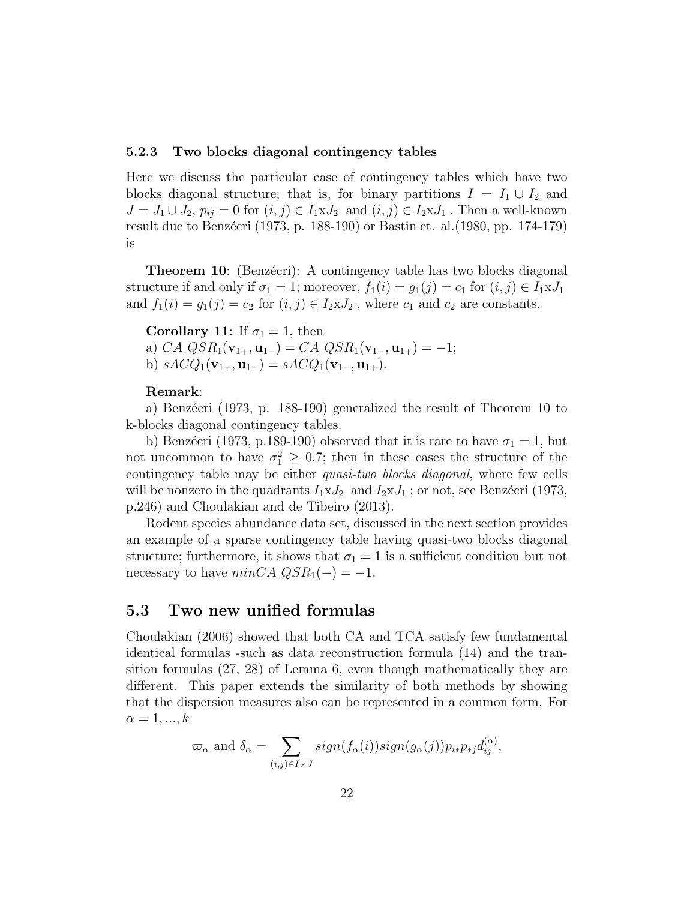#### 5.2.3 Two blocks diagonal contingency tables

Here we discuss the particular case of contingency tables which have two blocks diagonal structure; that is, for binary partitions  $I = I_1 \cup I_2$  and  $J = J_1 \cup J_2$ ,  $p_{ij} = 0$  for  $(i, j) \in I_1 \times J_2$  and  $(i, j) \in I_2 \times J_1$ . Then a well-known result due to Benzécri (1973, p. 188-190) or Bastin et. al. (1980, pp. 174-179) is

**Theorem 10:** (Benzécri): A contingency table has two blocks diagonal structure if and only if  $\sigma_1 = 1$ ; moreover,  $f_1(i) = g_1(j) = c_1$  for  $(i, j) \in I_1 \times J_1$ and  $f_1(i) = g_1(j) = c_2$  for  $(i, j) \in I_2 \times J_2$ , where  $c_1$  and  $c_2$  are constants.

Corollary 11: If  $\sigma_1 = 1$ , then a)  $CA\_QSR_1(\mathbf{v}_{1+}, \mathbf{u}_{1-}) = CA\_QSR_1(\mathbf{v}_{1-}, \mathbf{u}_{1+}) = -1;$ b)  $sACQ_1(\mathbf{v}_{1+}, \mathbf{u}_{1-}) = sACQ_1(\mathbf{v}_{1-}, \mathbf{u}_{1+}).$ 

#### Remark:

a) Benzécri (1973, p. 188-190) generalized the result of Theorem 10 to k-blocks diagonal contingency tables.

b) Benzécri (1973, p.189-190) observed that it is rare to have  $\sigma_1 = 1$ , but not uncommon to have  $\sigma_1^2 \geq 0.7$ ; then in these cases the structure of the contingency table may be either *quasi-two blocks diagonal*, where few cells will be nonzero in the quadrants  $I_1 \times J_2$  and  $I_2 \times J_1$ ; or not, see Benzécri (1973, p.246) and Choulakian and de Tibeiro (2013).

Rodent species abundance data set, discussed in the next section provides an example of a sparse contingency table having quasi-two blocks diagonal structure; furthermore, it shows that  $\sigma_1 = 1$  is a sufficient condition but not necessary to have  $minC A \_Q S R_1(-) = -1$ .

### 5.3 Two new unified formulas

Choulakian (2006) showed that both CA and TCA satisfy few fundamental identical formulas -such as data reconstruction formula (14) and the transition formulas (27, 28) of Lemma 6, even though mathematically they are different. This paper extends the similarity of both methods by showing that the dispersion measures also can be represented in a common form. For  $\alpha = 1, ..., k$ 

$$
\varpi_{\alpha} \text{ and } \delta_{\alpha} = \sum_{(i,j) \in I \times J} sign(f_{\alpha}(i)) sign(g_{\alpha}(j)) p_{i*} p_{*j} d_{ij}^{(\alpha)},
$$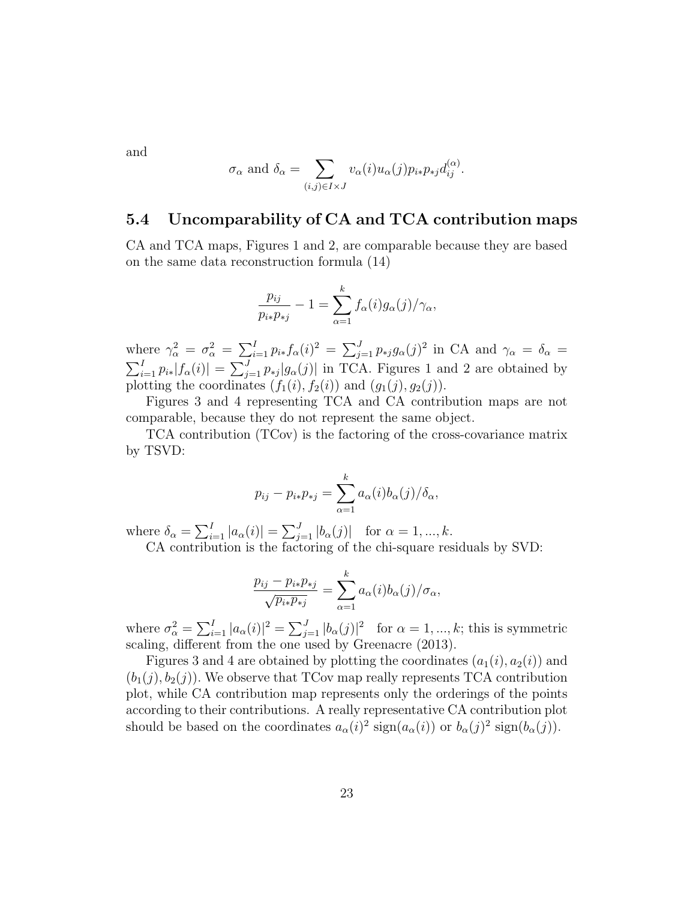and

$$
\sigma_{\alpha}
$$
 and  $\delta_{\alpha} = \sum_{(i,j)\in I\times J} v_{\alpha}(i)u_{\alpha}(j)p_{i*}p_{*j}d_{ij}^{(\alpha)}$ .

### 5.4 Uncomparability of CA and TCA contribution maps

CA and TCA maps, Figures 1 and 2, are comparable because they are based on the same data reconstruction formula (14)

$$
\frac{p_{ij}}{p_{i*}p_{*j}} - 1 = \sum_{\alpha=1}^k f_{\alpha}(i)g_{\alpha}(j)/\gamma_{\alpha},
$$

where  $\gamma_{\alpha}^2 = \sigma_{\alpha}^2 = \sum_{i=1}^I p_{i*} f_{\alpha}(i)^2 = \sum_{j=1}^J p_{*j} g_{\alpha}(j)^2$  in CA and  $\gamma_{\alpha} = \delta_{\alpha} =$  $\sum_{i=1}^{I} p_{i*} |f_{\alpha}(i)| = \sum_{j=1}^{J} p_{*j} |g_{\alpha}(j)|$  in TCA. Figures 1 and 2 are obtained by plotting the coordinates  $(f_1(i), f_2(i))$  and  $(g_1(j), g_2(j))$ .

Figures 3 and 4 representing TCA and CA contribution maps are not comparable, because they do not represent the same object.

TCA contribution (TCov) is the factoring of the cross-covariance matrix by TSVD:

$$
p_{ij} - p_{i*}p_{*j} = \sum_{\alpha=1}^k a_{\alpha}(i)b_{\alpha}(j)/\delta_{\alpha},
$$

where  $\delta_{\alpha} = \sum_{i=1}^{I} |a_{\alpha}(i)| = \sum_{j=1}^{J} |b_{\alpha}(j)|$  for  $\alpha = 1, ..., k$ . CA contribution is the factoring of the chi-square residuals by SVD:

$$
\frac{p_{ij} - p_{i*}p_{*j}}{\sqrt{p_{i*}p_{*j}}} = \sum_{\alpha=1}^k a_{\alpha}(i)b_{\alpha}(j)/\sigma_{\alpha},
$$

where  $\sigma_{\alpha}^2 = \sum_{i=1}^I |a_{\alpha}(i)|^2 = \sum_{j=1}^J |b_{\alpha}(j)|^2$  for  $\alpha = 1, ..., k$ ; this is symmetric scaling, different from the one used by Greenacre (2013).

Figures 3 and 4 are obtained by plotting the coordinates  $(a_1(i), a_2(i))$  and  $(b_1(j), b_2(j))$ . We observe that TCov map really represents TCA contribution plot, while CA contribution map represents only the orderings of the points according to their contributions. A really representative CA contribution plot should be based on the coordinates  $a_{\alpha}(i)^2 \operatorname{sign}(a_{\alpha}(i))$  or  $b_{\alpha}(j)^2 \operatorname{sign}(b_{\alpha}(j))$ .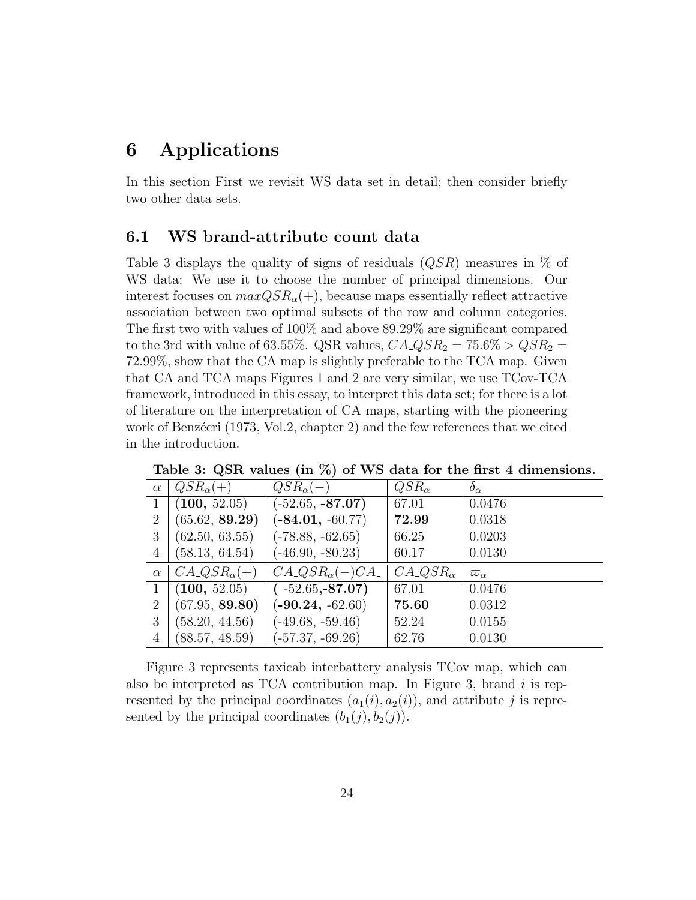# 6 Applications

In this section First we revisit WS data set in detail; then consider briefly two other data sets.

### 6.1 WS brand-attribute count data

Table 3 displays the quality of signs of residuals  $(QSR)$  measures in % of WS data: We use it to choose the number of principal dimensions. Our interest focuses on  $maxQSR_{\alpha}(+)$ , because maps essentially reflect attractive association between two optimal subsets of the row and column categories. The first two with values of 100% and above 89.29% are significant compared to the 3rd with value of 63.55%. QSR values,  $CA\_\text{QSR}_2 = 75.6\% > QSR_2 = 75.6\%$ 72.99%, show that the CA map is slightly preferable to the TCA map. Given that CA and TCA maps Figures 1 and 2 are very similar, we use TCov-TCA framework, introduced in this essay, to interpret this data set; for there is a lot of literature on the interpretation of CA maps, starting with the pioneering work of Benzécri (1973, Vol.2, chapter 2) and the few references that we cited in the introduction.

| $\alpha$ | $QSR_{\alpha}(+)$                | $QSR_{\alpha}(-)$             | $QSR_{\alpha}$                   | $\delta_{\alpha}$ |
|----------|----------------------------------|-------------------------------|----------------------------------|-------------------|
|          | (100, 52.05)                     | $(-52.65, -87.07)$            | 67.01                            | 0.0476            |
| 2        | (65.62, 89.29)                   | $(-84.01, -60.77)$            | 72.99                            | 0.0318            |
| 3        | (62.50, 63.55)                   | $(-78.88, -62.65)$            | 66.25                            | 0.0203            |
| 4        | (58.13, 64.54)                   | $(-46.90, -80.23)$            | 60.17                            | 0.0130            |
| $\alpha$ | $C A_{\alpha} Q S R_{\alpha}(+)$ | $C A \_Q S R_{\alpha}(-) C A$ | $C A \triangleleft S R_{\alpha}$ | $\varpi_{\alpha}$ |
|          | (100, 52.05)                     | $(-52.65,-87.07)$             | 67.01                            | 0.0476            |
| 2        | (67.95, 89.80)                   | $(-90.24, -62.60)$            | 75.60                            | 0.0312            |
| 3        | (58.20, 44.56)                   | $(-49.68, -59.46)$            | 52.24                            | 0.0155            |
| 4        | (88.57, 48.59)                   | $(-57.37, -69.26)$            | 62.76                            | 0.0130            |

Table 3: QSR values (in  $\%$ ) of WS data for the first 4 dimensions.

Figure 3 represents taxicab interbattery analysis TCov map, which can also be interpreted as TCA contribution map. In Figure 3, brand  $i$  is represented by the principal coordinates  $(a_1(i), a_2(i))$ , and attribute j is represented by the principal coordinates  $(b_1(j), b_2(j))$ .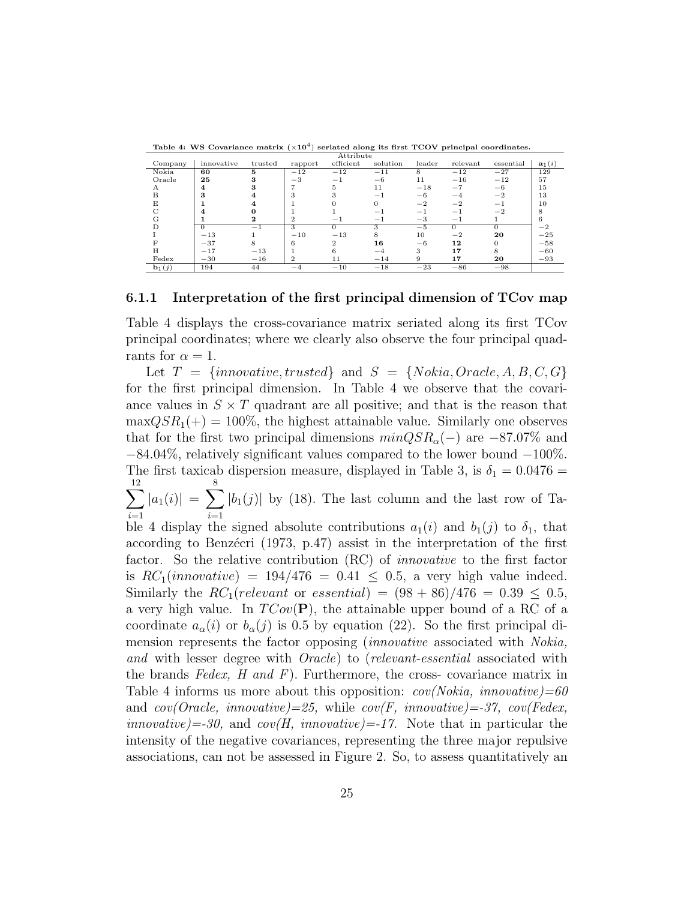|                   |            |         |                | Attribute    |          |        |          |           |                   |
|-------------------|------------|---------|----------------|--------------|----------|--------|----------|-----------|-------------------|
| Company           | innovative | trusted | rapport        | efficient    | solution | leader | relevant | essential | $\mathbf{a}_1(i)$ |
| Nokia             | 60         | 5       | $-12$          | $-12$        | $-11$    | 8      | $-12$    | $-27$     | 129               |
| Oracle            | 25         | 3       | $^{-3}$        | $-1$         | $-6$     | 11     | $-16$    | $-12$     | 57                |
| A                 | 4          |         | ,              | 5            | 11       | $-18$  | $-7$     | $-6$      | 15                |
| B                 | 3          |         | 3              |              | - 1      | $-6$   | $-4$     | $-2$      | 13                |
| E,                |            |         |                |              | $\Omega$ | $-2$   | $-2$     | $-1$      | 10                |
|                   |            |         |                |              | -        | -1     | ÷        | $-2$      |                   |
| G                 |            | 2       | $\overline{2}$ | $-1$         | $-1$     | $-3$   | $-1$     |           | h.                |
|                   | $\Omega$   | -       | 3              | 0            | 3        | $-5$   | $\Omega$ |           | $-2$              |
|                   | $-13$      |         | $-10$          | $-13$        | 8        | 10     | $-2$     | 20        | $-25$             |
|                   | $-37$      | 8       | 6              | $\mathbf{2}$ | 16       | $-6$   | 12       |           | $-58$             |
| H                 | $-17$      | $-13$   |                | 6            | $-4$     | 3      | 17       |           | $-60$             |
| Fedex             | $-30$      | $-16$   | $\overline{2}$ | 11           | $-14$    | 9      | 17       | 20        | $-93$             |
| $\mathbf{b}_1(j)$ | 194        | 44      | $-4$           | $-10$        | $-18$    | $-23$  | $-86$    | $-98$     |                   |

Table 4: WS Covariance matrix  $(\times 10^4)$  seriated along its first TCOV principal coordinates.

#### 6.1.1 Interpretation of the first principal dimension of TCov map

Table 4 displays the cross-covariance matrix seriated along its first TCov principal coordinates; where we clearly also observe the four principal quadrants for  $\alpha = 1$ .

Let  $T = \{innovative, trusted\}$  and  $S = \{Nokia, Oracle, A, B, C, G\}$ for the first principal dimension. In Table 4 we observe that the covariance values in  $S \times T$  quadrant are all positive; and that is the reason that  $\maxQSR_1(+) = 100\%$ , the highest attainable value. Similarly one observes that for the first two principal dimensions  $minQSR_{\alpha}(-)$  are  $-87.07\%$  and −84.04%, relatively significant values compared to the lower bound −100%. The first taxicab dispersion measure, displayed in Table 3, is  $\delta_1 = 0.0476$  =  $\sum$ 12  $i=1$  $|a_1(i)| = \sum$ 8  $i=1$  $|b_1(j)|$  by (18). The last column and the last row of Table 4 display the signed absolute contributions  $a_1(i)$  and  $b_1(j)$  to  $\delta_1$ , that according to Benzécri (1973, p.47) assist in the interpretation of the first factor. So the relative contribution (RC) of innovative to the first factor is  $RC_1(innovative) = 194/476 = 0.41 \le 0.5$ , a very high value indeed. Similarly the  $RC_1(relevant \text{ or } essential) = (98 + 86)/476 = 0.39 \leq 0.5$ , a very high value. In  $TCov(\mathbf{P})$ , the attainable upper bound of a RC of a coordinate  $a_{\alpha}(i)$  or  $b_{\alpha}(j)$  is 0.5 by equation (22). So the first principal dimension represents the factor opposing *(innovative* associated with *Nokia,* and with lesser degree with *Oracle*) to (*relevant-essential* associated with the brands  $Fedex$ ,  $H$  and  $F$ ). Furthermore, the cross- covariance matrix in Table 4 informs us more about this opposition:  $cov(Nokia, innovative)=60$ and  $cov(Oracle, innovative)=25$ , while  $cov(F, innovative)=37$ ,  $cov(Fedex,$  $innovative$ )=-30, and  $cov(H, innovative)$ =-17. Note that in particular the intensity of the negative covariances, representing the three major repulsive associations, can not be assessed in Figure 2. So, to assess quantitatively an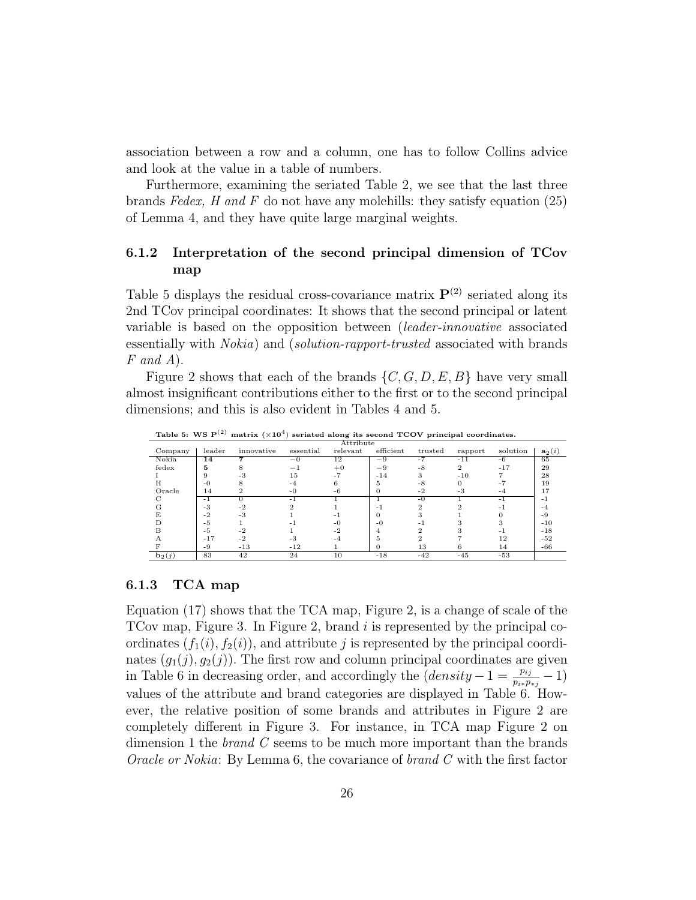association between a row and a column, one has to follow Collins advice and look at the value in a table of numbers.

Furthermore, examining the seriated Table 2, we see that the last three brands Fedex, H and F do not have any molehills: they satisfy equation  $(25)$ of Lemma 4, and they have quite large marginal weights.

### 6.1.2 Interpretation of the second principal dimension of TCov map

Table 5 displays the residual cross-covariance matrix  $\mathbf{P}^{(2)}$  seriated along its 2nd TCov principal coordinates: It shows that the second principal or latent variable is based on the opposition between (leader-innovative associated essentially with *Nokia*) and *(solution-rapport-trusted* associated with brands  $F$  and  $A$ ).

Figure 2 shows that each of the brands  $\{C, G, D, E, B\}$  have very small almost insignificant contributions either to the first or to the second principal dimensions; and this is also evident in Tables 4 and 5.

|          |        | $\sqrt{2}$ |           |           |           | -------- |               |          |          |
|----------|--------|------------|-----------|-----------|-----------|----------|---------------|----------|----------|
|          |        |            |           | Attribute |           |          |               |          |          |
| Company  | leader | innovative | essential | relevant  | efficient | trusted  | rapport       | solution | $a_2(i)$ |
| Nokia    | 14     |            | $-0$      | 12        | $-9$      | $-7$     | $-11$         | $-6$     | 65       |
| fedex    | 5      |            | -         | $+0$      | $-9$      | $-8$     | $\mathcal{D}$ | $-17$    | 29       |
|          | 9      |            | 15        |           | $-14$     |          | $-10$         |          | 28       |
| Н        | $-0$   |            | $-4$      |           | 5         | $-8$     |               |          | 19       |
| Oracle   | 14     |            | $-0$      | $-6$      | $\lceil$  | $-2$     | $-3$          | -4       | 17       |
|          | $-1$   |            | - 1       |           |           | $-0$     |               | - 1      | $-1$     |
|          | $-3$   | $-2$       |           |           | - 1       |          |               |          | -4       |
|          | $-2$   | $-3$       |           |           | $\Omega$  |          |               |          | $-9$     |
|          | $-5$   |            |           | -0        | $-0$      |          |               |          | $-10$    |
| R        | $-5$   | $-2$       |           | -2        |           |          |               |          | $-18$    |
|          | $-17$  | $-2$       | $-3$      | -4        | Ð.        |          |               | 12       | $-52$    |
|          | -9     | $-13$      | $-12$     |           |           | 13       |               | 14       | $-66$    |
| $b_2(j)$ | 83     | 42         | 24        | 10        | $-18$     | $-42$    | $-45$         | $-53$    |          |

Table 5: WS  $P^{(2)}$  matrix  $(\times 10^4)$  seriated along its second TCOV principal coordinates.

#### 6.1.3 TCA map

Equation (17) shows that the TCA map, Figure 2, is a change of scale of the TCov map, Figure 3. In Figure 2, brand  $i$  is represented by the principal coordinates  $(f_1(i), f_2(i))$ , and attribute j is represented by the principal coordinates  $(g_1(j), g_2(j))$ . The first row and column principal coordinates are given in Table 6 in decreasing order, and accordingly the  $(density - 1 = \frac{p_{ij}}{p_{i*}p_{*j}} - 1)$ values of the attribute and brand categories are displayed in Table 6. However, the relative position of some brands and attributes in Figure 2 are completely different in Figure 3. For instance, in TCA map Figure 2 on dimension 1 the *brand*  $C$  seems to be much more important than the brands Oracle or Nokia: By Lemma 6, the covariance of brand C with the first factor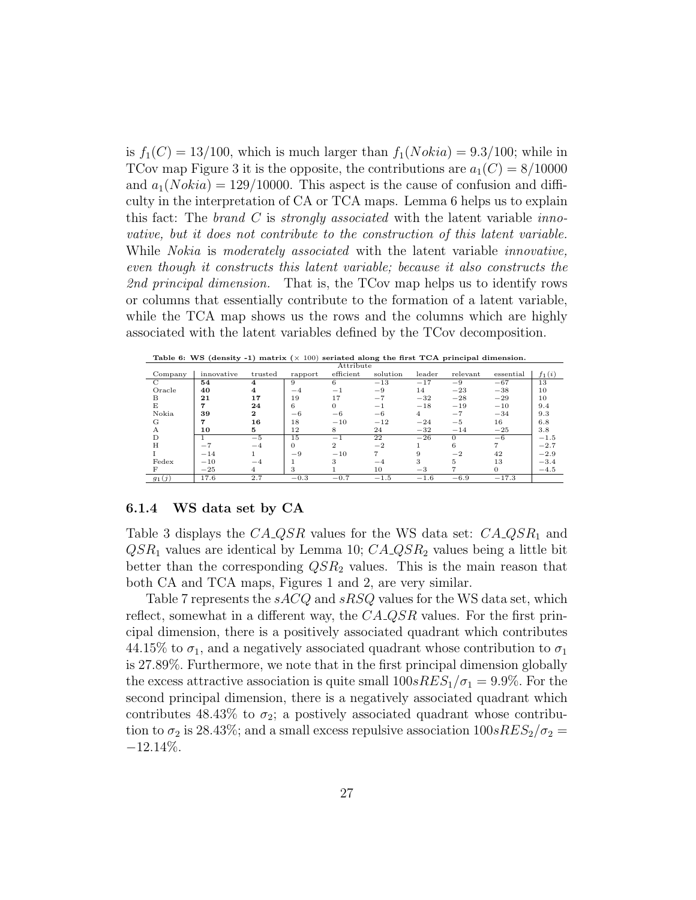is  $f_1(C) = 13/100$ , which is much larger than  $f_1(Nokia) = 9.3/100$ ; while in TCov map Figure 3 it is the opposite, the contributions are  $a_1(C) = 8/10000$ and  $a_1(Nokia) = 129/10000$ . This aspect is the cause of confusion and difficulty in the interpretation of CA or TCA maps. Lemma 6 helps us to explain this fact: The brand C is strongly associated with the latent variable innovative, but it does not contribute to the construction of this latent variable. While *Nokia* is *moderately associated* with the latent variable *innovative*, even though it constructs this latent variable; because it also constructs the 2nd principal dimension. That is, the TCov map helps us to identify rows or columns that essentially contribute to the formation of a latent variable, while the TCA map shows us the rows and the columns which are highly associated with the latent variables defined by the TCov decomposition.

|          |            |              |                 | Attribute      |          |        |          |           |          |
|----------|------------|--------------|-----------------|----------------|----------|--------|----------|-----------|----------|
| Company  | innovative | trusted      | rapport         | efficient      | solution | leader | relevant | essential | $f_1(i)$ |
| С        | 54         | 4            | 9               | 6              | $-13$    | $-17$  | $-9$     | $-67$     | 13       |
| Oracle   | 40         |              | $-4$            | $-1$           | $-9$     | 14     | $-23$    | $-38$     | 10       |
| В        | 21         | 17           | 19              | 17             | $-7$     | $-32$  | $-28$    | $-29$     | 10       |
| E        | 7          | 24           | 6               | $\Omega$       | $-1$     | $-18$  | $-19$    | $-10$     | 9.4      |
| Nokia    | 39         | $\mathbf{2}$ | $-6$            | $-6$           | $-6$     | 4      | $-7$     | $-34$     | 9.3      |
| G        | 7          | 16           | 18              | $-10$          | $-12$    | $-24$  | $-5$     | 16        | 6.8      |
| А        | 10         | 5            | 12              | 8              | 24       | $-32$  | $-14$    | $-25$     | 3.8      |
| D        |            | $-5$         | $1\overline{5}$ | Ξ,             | 22       | $-26$  | $\Omega$ | $-6$      | $-1.5$   |
| H        | $-7$       | $-4$         | $\Omega$        | $\overline{2}$ | $-2$     |        | 6        |           | $-2.7$   |
|          | $-14$      |              | $-9$            | $-10$          | 7        | Q      | $-2$     | 42        | $-2.9$   |
| Fedex    | $-10$      | $-4$         |                 | 3              | $-4$     | 3      | 5        | 13        | $-3.4$   |
| F        | $-25$      | 4            | 3               |                | 10       | $-3$   |          |           | $-4.5$   |
| $g_1(j)$ | 17.6       | 2.7          | $-0.3$          | $-0.7$         | $-1.5$   | $-1.6$ | $-6.9$   | $-17.3$   |          |

Table 6: WS (density -1) matrix  $(x 100)$  seriated along the first TCA principal dimension.

#### 6.1.4 WS data set by CA

Table 3 displays the  $C A \text{-} Q S R$  values for the WS data set:  $C A \text{-} Q S R_1$  and  $QSR<sub>1</sub>$  values are identical by Lemma 10;  $CA\_QSR<sub>2</sub>$  values being a little bit better than the corresponding  $QSR<sub>2</sub>$  values. This is the main reason that both CA and TCA maps, Figures 1 and 2, are very similar.

Table 7 represents the sACQ and sRSQ values for the WS data set, which reflect, somewhat in a different way, the  $C A$ -QSR values. For the first principal dimension, there is a positively associated quadrant which contributes 44.15% to  $\sigma_1$ , and a negatively associated quadrant whose contribution to  $\sigma_1$ is 27.89%. Furthermore, we note that in the first principal dimension globally the excess attractive association is quite small  $100sRES<sub>1</sub>/\sigma_1 = 9.9\%$ . For the second principal dimension, there is a negatively associated quadrant which contributes 48.43% to  $\sigma_2$ ; a postively associated quadrant whose contribution to  $\sigma_2$  is 28.43%; and a small excess repulsive association  $100sRES_2/\sigma_2 =$  $-12.14\%$ .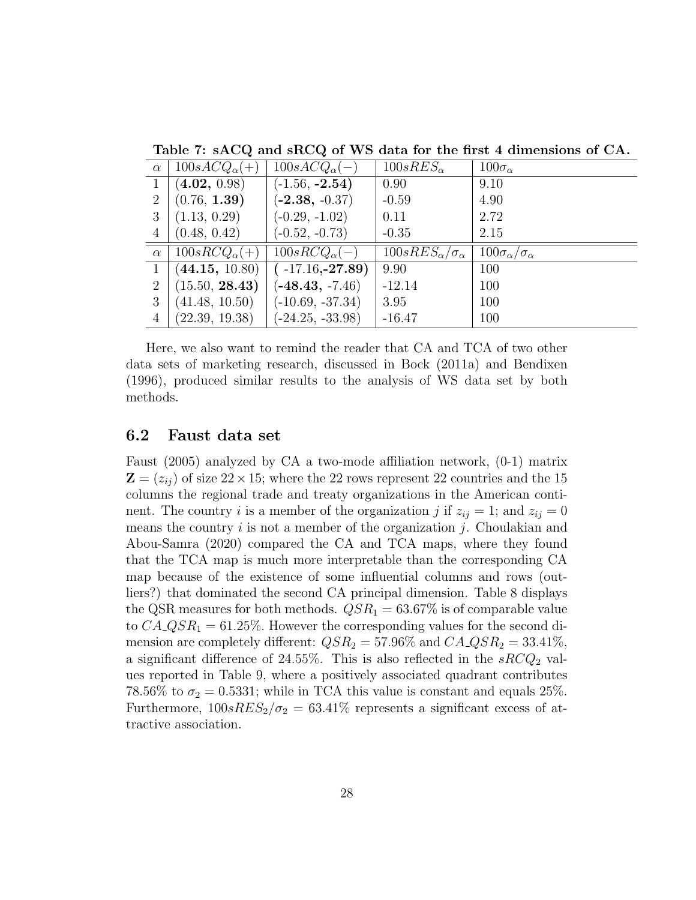| $\alpha$       | $100sACQ_{\alpha}(+)$ | $100sACQ_{\alpha}(-)$ | $100sRES_{\alpha}$                 | $100\sigma_{\alpha}$             |
|----------------|-----------------------|-----------------------|------------------------------------|----------------------------------|
| $\mathbf{1}$   | (4.02, 0.98)          | $(-1.56, -2.54)$      | 0.90                               | 9.10                             |
| 2              | (0.76, 1.39)          | $(-2.38, -0.37)$      | $-0.59$                            | 4.90                             |
| 3              | (1.13, 0.29)          | $(-0.29, -1.02)$      | 0.11                               | 2.72                             |
| $\overline{4}$ | (0.48, 0.42)          | $(-0.52, -0.73)$      | $-0.35$                            | 2.15                             |
|                |                       |                       |                                    |                                  |
| $\alpha$       | $100sRCQ_{\alpha}(+)$ | $100sRCQ_{\alpha}(-)$ | $100sRES_{\alpha}/\sigma_{\alpha}$ | $100\sigma_\alpha/\sigma_\alpha$ |
| 1              | (44.15, 10.80)        | $(-17.16,-27.89)$     | 9.90                               | 100                              |
| $\overline{2}$ | (15.50, 28.43)        | $(-48.43, -7.46)$     | $-12.14$                           | 100                              |
| 3              | (41.48, 10.50)        | $(-10.69, -37.34)$    | 3.95                               | 100                              |

Table 7: sACQ and sRCQ of WS data for the first 4 dimensions of CA.

Here, we also want to remind the reader that CA and TCA of two other data sets of marketing research, discussed in Bock (2011a) and Bendixen (1996), produced similar results to the analysis of WS data set by both methods.

### 6.2 Faust data set

Faust (2005) analyzed by CA a two-mode affiliation network, (0-1) matrix  $\mathbf{Z} = (z_{ij})$  of size  $22 \times 15$ ; where the 22 rows represent 22 countries and the 15 columns the regional trade and treaty organizations in the American continent. The country *i* is a member of the organization *j* if  $z_{ij} = 1$ ; and  $z_{ij} = 0$ means the country  $i$  is not a member of the organization  $j$ . Choulakian and Abou-Samra (2020) compared the CA and TCA maps, where they found that the TCA map is much more interpretable than the corresponding CA map because of the existence of some influential columns and rows (outliers?) that dominated the second CA principal dimension. Table 8 displays the QSR measures for both methods.  $QSR_1 = 63.67\%$  is of comparable value to  $CA\_QSR<sub>1</sub> = 61.25\%$ . However the corresponding values for the second dimension are completely different:  $QSR_2 = 57.96\%$  and  $CA\_QSR_2 = 33.41\%$ , a significant difference of 24.55%. This is also reflected in the  $sRCQ_2$  values reported in Table 9, where a positively associated quadrant contributes 78.56% to  $\sigma_2 = 0.5331$ ; while in TCA this value is constant and equals 25%. Furthermore,  $100sRES_2/\sigma_2 = 63.41\%$  represents a significant excess of attractive association.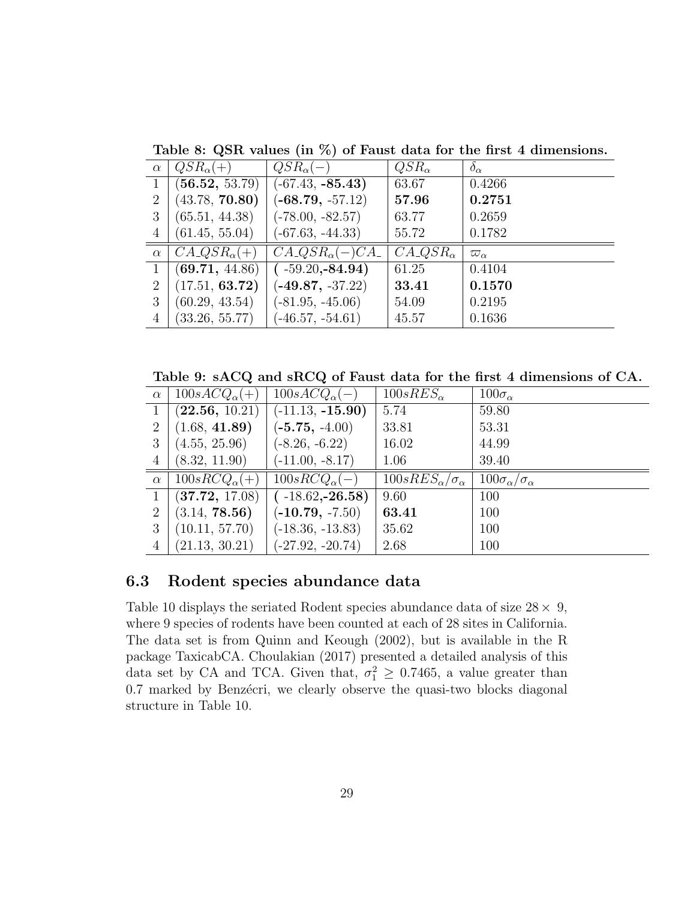| $\alpha$       | $QSR_{\alpha}(+)$         | $QSR_{\alpha}(-)$                     | $QSR_{\alpha}$                   | $\delta_{\alpha}$ |
|----------------|---------------------------|---------------------------------------|----------------------------------|-------------------|
| $\mathbf{1}$   | (56.52, 53.79)            | $(-67.43, -85.43)$                    | 63.67                            | 0.4266            |
| 2              | (43.78, 70.80)            | $(-68.79, -57.12)$                    | 57.96                            | 0.2751            |
| 3              | (65.51, 44.38)            | $(-78.00, -82.57)$                    | 63.77                            | 0.2659            |
| $\overline{4}$ | (61.45, 55.04)            | $(-67.63, -44.33)$                    | 55.72                            | 0.1782            |
|                |                           |                                       |                                  |                   |
| $\alpha$       | $C A \_Q S R_{\alpha}(+)$ | $C A \triangle Q S R_{\alpha}(-) C A$ | $C A \triangleleft S R_{\alpha}$ | $\varpi_{\alpha}$ |
| $\mathbf{1}$   | (69.71, 44.86)            | $(-59.20,-84.94)$                     | 61.25                            | 0.4104            |
| $\overline{2}$ | (17.51, 63.72)            | $(-49.87, -37.22)$                    | 33.41                            | 0.1570            |
| 3              | (60.29, 43.54)            | $(-81.95, -45.06)$                    | 54.09                            | 0.2195            |

Table 8: QSR values (in %) of Faust data for the first 4 dimensions.

Table 9: sACQ and sRCQ of Faust data for the first 4 dimensions of CA.

| $\alpha$     | $100sACQ_{\alpha}(+)$ | $100sACQ_{\alpha}(-)$ | $100sRES_{\alpha}$                 | $100\sigma_{\alpha}$             |
|--------------|-----------------------|-----------------------|------------------------------------|----------------------------------|
| $\mathbf{1}$ | (22.56, 10.21)        | $(-11.13, -15.90)$    | 5.74                               | 59.80                            |
| 2            | (1.68, 41.89)         | $(-5.75, -4.00)$      | 33.81                              | 53.31                            |
| 3            | (4.55, 25.96)         | $(-8.26, -6.22)$      | 16.02                              | 44.99                            |
| 4            | (8.32, 11.90)         | $(-11.00, -8.17)$     | 1.06                               | 39.40                            |
|              |                       |                       |                                    |                                  |
| $\alpha$     | $100sRCQ_{\alpha}(+)$ | $100sRCQ_{\alpha}(-)$ | $100sRES_{\alpha}/\sigma_{\alpha}$ | $100\sigma_\alpha/\sigma_\alpha$ |
| $\mathbf{1}$ | (37.72, 17.08)        | $(-18.62,-26.58)$     | 9.60                               | 100                              |
| 2            | (3.14, 78.56)         | $(-10.79, -7.50)$     | 63.41                              | 100                              |
| 3            | (10.11, 57.70)        | $(-18.36, -13.83)$    | 35.62                              | 100                              |

## 6.3 Rodent species abundance data

Table 10 displays the seriated Rodent species abundance data of size  $28 \times 9$ , where 9 species of rodents have been counted at each of 28 sites in California. The data set is from Quinn and Keough (2002), but is available in the R package TaxicabCA. Choulakian (2017) presented a detailed analysis of this data set by CA and TCA. Given that,  $\sigma_1^2 \geq 0.7465$ , a value greater than 0.7 marked by Benzécri, we clearly observe the quasi-two blocks diagonal structure in Table 10.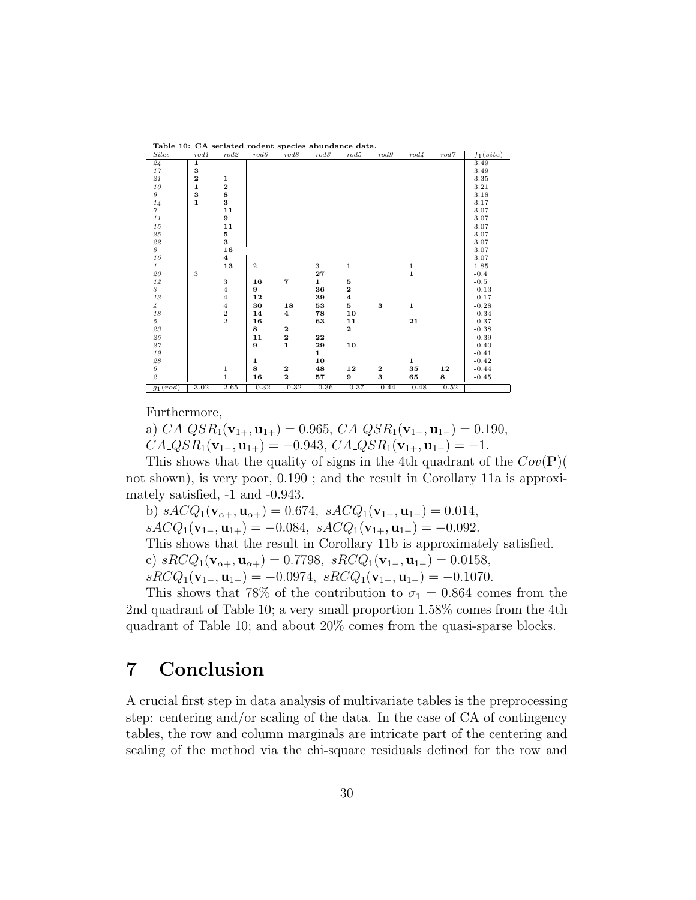| rable To: CA seriated rouein species abundance data. |              |                     |                  |                         |                 |                    |         |               |         |                        |
|------------------------------------------------------|--------------|---------------------|------------------|-------------------------|-----------------|--------------------|---------|---------------|---------|------------------------|
| <b>Sites</b>                                         | rod1         | rod2                | rod6             | rod 8                   | rod3            | rod 5              | rod 9   | $rod\angle$   | rod 7   | $f_1(\overline{site})$ |
| 24                                                   | 1            |                     |                  |                         |                 |                    |         |               |         | $\overline{3.49}$      |
| $17\,$                                               | 3            |                     |                  |                         |                 |                    |         |               |         | 3.49                   |
| $2\sqrt{1}$                                          | $\mathbf 2$  | 1                   |                  |                         |                 |                    |         |               |         | 3.35                   |
| $10$                                                 | $\mathbf{1}$ | $\mathbf 2$         |                  |                         |                 |                    |         |               |         | 3.21                   |
| $\boldsymbol{g}$                                     | 3            | 8                   |                  |                         |                 |                    |         |               |         | 3.18                   |
| $^{14}_{\gamma}$                                     | $\mathbf{1}$ | 3                   |                  |                         |                 |                    |         |               |         | 3.17                   |
|                                                      |              | 11                  |                  |                         |                 |                    |         |               |         | 3.07                   |
| $1\,1$                                               |              | 9                   |                  |                         |                 |                    |         |               |         | 3.07                   |
| $15\,$                                               |              | 11                  |                  |                         |                 |                    |         |               |         | 3.07                   |
| $\it 25$                                             |              | 5                   |                  |                         |                 |                    |         |               |         | 3.07                   |
| $2\sqrt{2}$                                          |              | 3                   |                  |                         |                 |                    |         |               |         | 3.07                   |
| 8                                                    |              | 16                  |                  |                         |                 |                    |         |               |         | 3.07                   |
| $16\,$                                               |              | $\overline{\bf{4}}$ |                  |                         |                 |                    |         |               |         | 3.07                   |
| $\mathbf{1}$                                         |              | 13                  | $\boldsymbol{2}$ |                         | 3               | $\mathbf{1}$       |         |               |         | 1.85                   |
| $\it 20$                                             | 3            |                     |                  |                         | $\overline{27}$ |                    |         | $\frac{1}{1}$ |         | $-0.4$                 |
| $1\,2$                                               |              | 3                   | 16               | $\overline{\mathbf{7}}$ | $\mathbf{1}$    | 5                  |         |               |         | $-0.5$                 |
| $\boldsymbol{s}$                                     |              | $\overline{4}$      | 9                |                         | 36              | $\bf{2}$           |         |               |         | $-0.13$                |
| $1\sqrt{3}$                                          |              | $\overline{4}$      | 12               |                         | 39              | $\overline{\bf 4}$ |         |               |         | $-0.17$                |
| $\frac{1}{4}$                                        |              | $\overline{4}$      | 30               | 18                      | 53              | 5                  | 3       | $\mathbf 1$   |         | $-0.28$                |
| $18\,$                                               |              | $\,2$               | 14               | $\overline{\bf 4}$      | 78              | 10                 |         |               |         | $-0.34$                |
| $\mathcal{L}$                                        |              | $\sqrt{2}$          | 16               |                         | 63              | ${\bf 11}$         |         | 21            |         | $-0.37$                |
| $2\sqrt{3}$                                          |              |                     | 8                | $\mathbf{2}$            |                 | $\mathbf{2}$       |         |               |         | $-0.38$                |
| $\it 26$                                             |              |                     | 11               | $\bf 2$                 | 22              |                    |         |               |         | $-0.39$                |
| $27\,$                                               |              |                     | 9                | $\mathbf{1}$            | 29              | 10                 |         |               |         | $-0.40$                |
| $19\,$                                               |              |                     |                  |                         | $\mathbf{1}$    |                    |         |               |         | $-0.41$                |
| $\it 28$                                             |              |                     | 1                |                         | 10              |                    |         | $\mathbf{1}$  |         | $-0.42$                |
| $\boldsymbol{6}$                                     |              | 1                   | 8                | $\mathbf{2}$            | 48              | 12                 | 2       | 35            | 12      | $-0.44$                |
| $\it 2$                                              |              | $\mathbf{1}$        | 16               | $\bf{2}$                | 57              | 9                  | 3       | 65            | 8       | $-0.45$                |
| $g_1(rod)$                                           | 3.02         | 2.65                | $-0.32$          | $-0.32$                 | $-0.36$         | $-0.37$            | $-0.44$ | $-0.48$       | $-0.52$ |                        |

 $Table 10: CA$  seriated rodent species abundance

Furthermore,

a)  $CA\_QSR_1(\mathbf{v}_{1+}, \mathbf{u}_{1+}) = 0.965, CA\_QSR_1(\mathbf{v}_{1-}, \mathbf{u}_{1-}) = 0.190,$  $C A \_Q S R_1(\mathbf{v}_{1-}, \mathbf{u}_{1+}) = -0.943, C A \_Q S R_1(\mathbf{v}_{1+}, \mathbf{u}_{1-}) = -1.$ 

This shows that the quality of signs in the 4th quadrant of the  $Cov(\mathbf{P})$ not shown), is very poor, 0.190 ; and the result in Corollary 11a is approximately satisfied, -1 and -0.943.

b)  $sACQ_1(\mathbf{v}_{\alpha+}, \mathbf{u}_{\alpha+}) = 0.674$ ,  $sACQ_1(\mathbf{v}_{1-}, \mathbf{u}_{1-}) = 0.014$ ,  $sACQ_1(\mathbf{v}_{1-}, \mathbf{u}_{1+}) = -0.084$ ,  $sACQ_1(\mathbf{v}_{1+}, \mathbf{u}_{1-}) = -0.092$ . This shows that the result in Corollary 11b is approximately satisfied. c)  $sRCQ_1(\mathbf{v}_{\alpha+}, \mathbf{u}_{\alpha+}) = 0.7798$ ,  $sRCQ_1(\mathbf{v}_{1-}, \mathbf{u}_{1-}) = 0.0158$ ,  $sRCQ_1(\mathbf{v}_{1-}, \mathbf{u}_{1+}) = -0.0974, \ sRCQ_1(\mathbf{v}_{1+}, \mathbf{u}_{1-}) = -0.1070.$ 

This shows that 78% of the contribution to  $\sigma_1 = 0.864$  comes from the 2nd quadrant of Table 10; a very small proportion 1.58% comes from the 4th quadrant of Table 10; and about 20% comes from the quasi-sparse blocks.

# 7 Conclusion

A crucial first step in data analysis of multivariate tables is the preprocessing step: centering and/or scaling of the data. In the case of CA of contingency tables, the row and column marginals are intricate part of the centering and scaling of the method via the chi-square residuals defined for the row and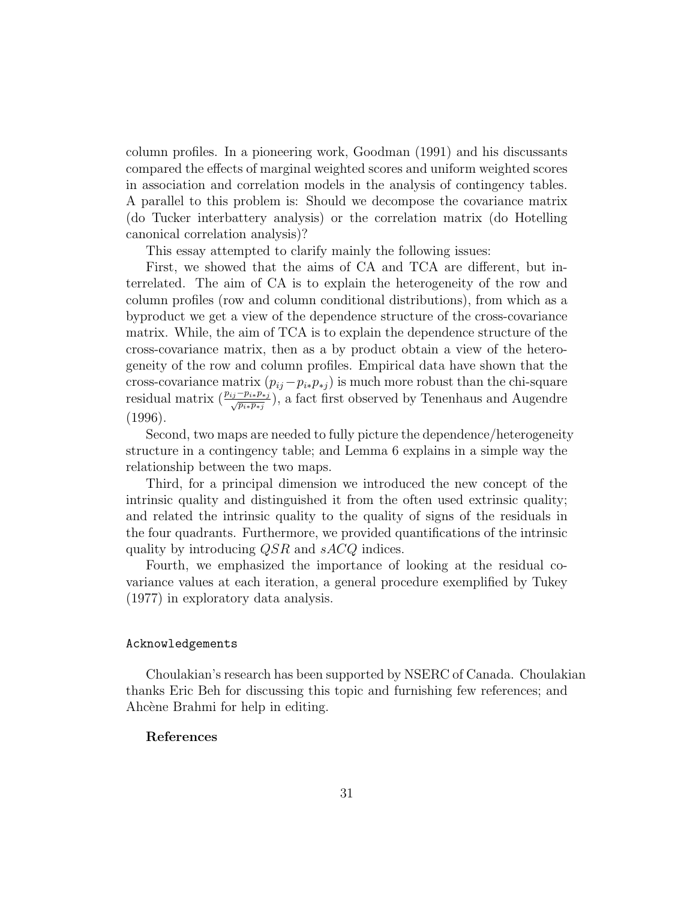column profiles. In a pioneering work, Goodman (1991) and his discussants compared the effects of marginal weighted scores and uniform weighted scores in association and correlation models in the analysis of contingency tables. A parallel to this problem is: Should we decompose the covariance matrix (do Tucker interbattery analysis) or the correlation matrix (do Hotelling canonical correlation analysis)?

This essay attempted to clarify mainly the following issues:

First, we showed that the aims of CA and TCA are different, but interrelated. The aim of CA is to explain the heterogeneity of the row and column profiles (row and column conditional distributions), from which as a byproduct we get a view of the dependence structure of the cross-covariance matrix. While, the aim of TCA is to explain the dependence structure of the cross-covariance matrix, then as a by product obtain a view of the heterogeneity of the row and column profiles. Empirical data have shown that the cross-covariance matrix  $(p_{ij} - p_{i*}p_{*j})$  is much more robust than the chi-square residual matrix  $(\frac{p_{ij}-p_{i*}p_{*j}}{\sqrt{p_{i*}p_{*j}}})$ , a fact first observed by Tenenhaus and Augendre (1996).

Second, two maps are needed to fully picture the dependence/heterogeneity structure in a contingency table; and Lemma 6 explains in a simple way the relationship between the two maps.

Third, for a principal dimension we introduced the new concept of the intrinsic quality and distinguished it from the often used extrinsic quality; and related the intrinsic quality to the quality of signs of the residuals in the four quadrants. Furthermore, we provided quantifications of the intrinsic quality by introducing  $QSR$  and  $sACQ$  indices.

Fourth, we emphasized the importance of looking at the residual covariance values at each iteration, a general procedure exemplified by Tukey (1977) in exploratory data analysis.

#### Acknowledgements

Choulakian's research has been supported by NSERC of Canada. Choulakian thanks Eric Beh for discussing this topic and furnishing few references; and Ahcène Brahmi for help in editing.

#### References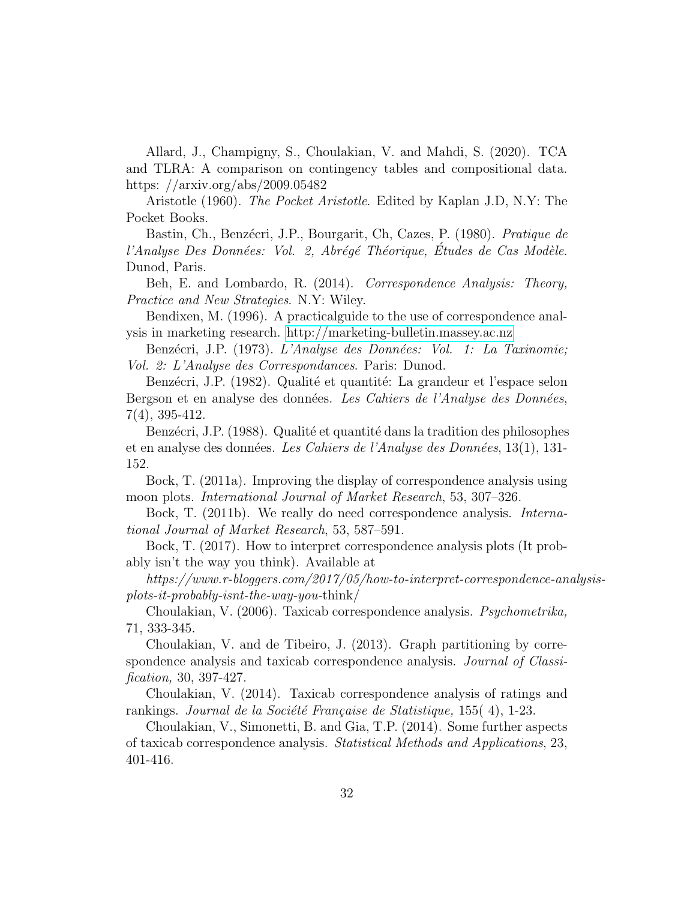Allard, J., Champigny, S., Choulakian, V. and Mahdi, S. (2020). TCA and TLRA: A comparison on contingency tables and compositional data. https: //arxiv.org/abs/2009.05482

Aristotle (1960). The Pocket Aristotle. Edited by Kaplan J.D, N.Y: The Pocket Books.

Bastin, Ch., Benzécri, J.P., Bourgarit, Ch. Cazes, P. (1980). Pratique de l'Analyse Des Données: Vol. 2, Abrégé Théorique, Études de Cas Modèle. Dunod, Paris.

Beh, E. and Lombardo, R. (2014). Correspondence Analysis: Theory, Practice and New Strategies. N.Y: Wiley.

Bendixen, M. (1996). A practicalguide to the use of correspondence analysis in marketing research.<http://marketing-bulletin.massey.ac.nz>

Benzécri, J.P. (1973). L'Analyse des Données: Vol. 1: La Taxinomie; Vol. 2: L'Analyse des Correspondances. Paris: Dunod.

Benzécri, J.P. (1982). Qualité et quantité: La grandeur et l'espace selon Bergson et en analyse des données. Les Cahiers de l'Analyse des Données, 7(4), 395-412.

Benzécri, J.P. (1988). Qualité et quantité dans la tradition des philosophes et en analyse des données. Les Cahiers de l'Analyse des Données,  $13(1)$ , 131-152.

Bock, T. (2011a). Improving the display of correspondence analysis using moon plots. International Journal of Market Research, 53, 307–326.

Bock, T. (2011b). We really do need correspondence analysis. *Interna*tional Journal of Market Research, 53, 587–591.

Bock, T. (2017). How to interpret correspondence analysis plots (It probably isn't the way you think). Available at

https://www.r-bloggers.com/2017/05/how-to-interpret-correspondence-analysisplots-it-probably-isnt-the-way-you-think/

Choulakian, V. (2006). Taxicab correspondence analysis. Psychometrika, 71, 333-345.

Choulakian, V. and de Tibeiro, J. (2013). Graph partitioning by correspondence analysis and taxicab correspondence analysis. *Journal of Classi*fication, 30, 397-427.

Choulakian, V. (2014). Taxicab correspondence analysis of ratings and rankings. Journal de la Société Française de Statistique,  $155(4)$ , 1-23.

Choulakian, V., Simonetti, B. and Gia, T.P. (2014). Some further aspects of taxicab correspondence analysis. Statistical Methods and Applications, 23, 401-416.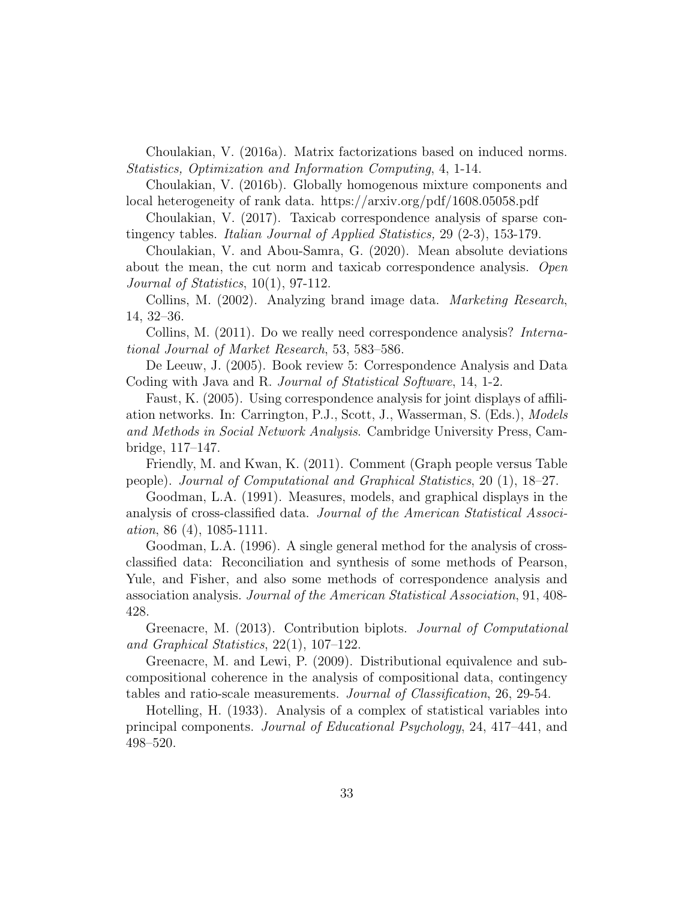Choulakian, V. (2016a). Matrix factorizations based on induced norms. Statistics, Optimization and Information Computing, 4, 1-14.

Choulakian, V. (2016b). Globally homogenous mixture components and local heterogeneity of rank data. https://arxiv.org/pdf/1608.05058.pdf

Choulakian, V. (2017). Taxicab correspondence analysis of sparse contingency tables. Italian Journal of Applied Statistics, 29 (2-3), 153-179.

Choulakian, V. and Abou-Samra, G. (2020). Mean absolute deviations about the mean, the cut norm and taxicab correspondence analysis. Open Journal of Statistics, 10(1), 97-112.

Collins, M. (2002). Analyzing brand image data. Marketing Research, 14, 32–36.

Collins, M. (2011). Do we really need correspondence analysis? International Journal of Market Research, 53, 583–586.

De Leeuw, J. (2005). Book review 5: Correspondence Analysis and Data Coding with Java and R. Journal of Statistical Software, 14, 1-2.

Faust, K. (2005). Using correspondence analysis for joint displays of affiliation networks. In: Carrington, P.J., Scott, J., Wasserman, S. (Eds.), Models and Methods in Social Network Analysis. Cambridge University Press, Cambridge, 117–147.

Friendly, M. and Kwan, K. (2011). Comment (Graph people versus Table people). Journal of Computational and Graphical Statistics, 20 (1), 18–27.

Goodman, L.A. (1991). Measures, models, and graphical displays in the analysis of cross-classified data. Journal of the American Statistical Association, 86 (4), 1085-1111.

Goodman, L.A. (1996). A single general method for the analysis of crossclassified data: Reconciliation and synthesis of some methods of Pearson, Yule, and Fisher, and also some methods of correspondence analysis and association analysis. Journal of the American Statistical Association, 91, 408- 428.

Greenacre, M. (2013). Contribution biplots. Journal of Computational and Graphical Statistics, 22(1), 107–122.

Greenacre, M. and Lewi, P. (2009). Distributional equivalence and subcompositional coherence in the analysis of compositional data, contingency tables and ratio-scale measurements. Journal of Classification, 26, 29-54.

Hotelling, H. (1933). Analysis of a complex of statistical variables into principal components. Journal of Educational Psychology, 24, 417–441, and 498–520.